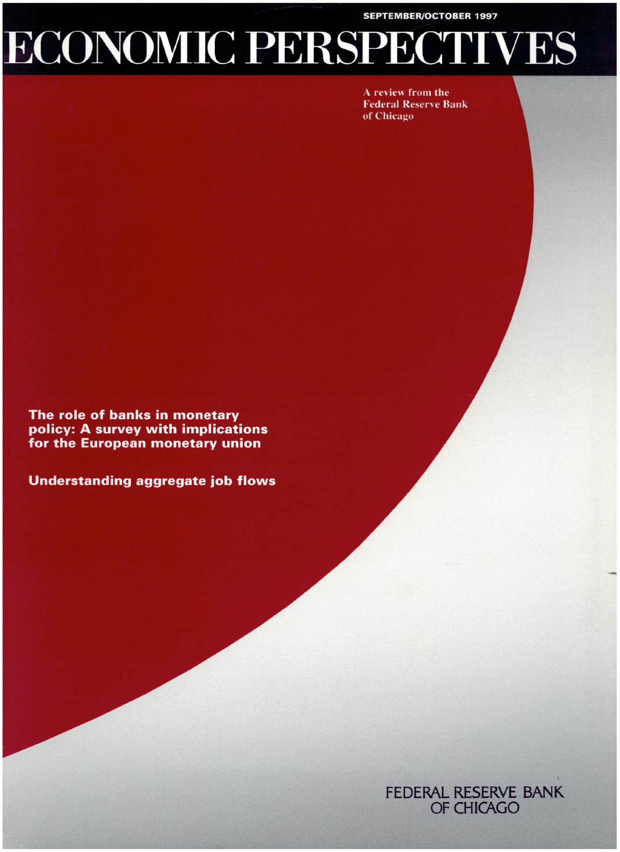**SEPTEMBER/OCTOBER 1997**

# **ECONOMIC PERSPECTIVES**

A review from the **Federal Reserve Bank** of Chicago

The role of banks in monetary policy: A survey with implications for the European monetary union

**Understanding aggregate job flows** 

■HHHHHHHH ililiiSa KB :

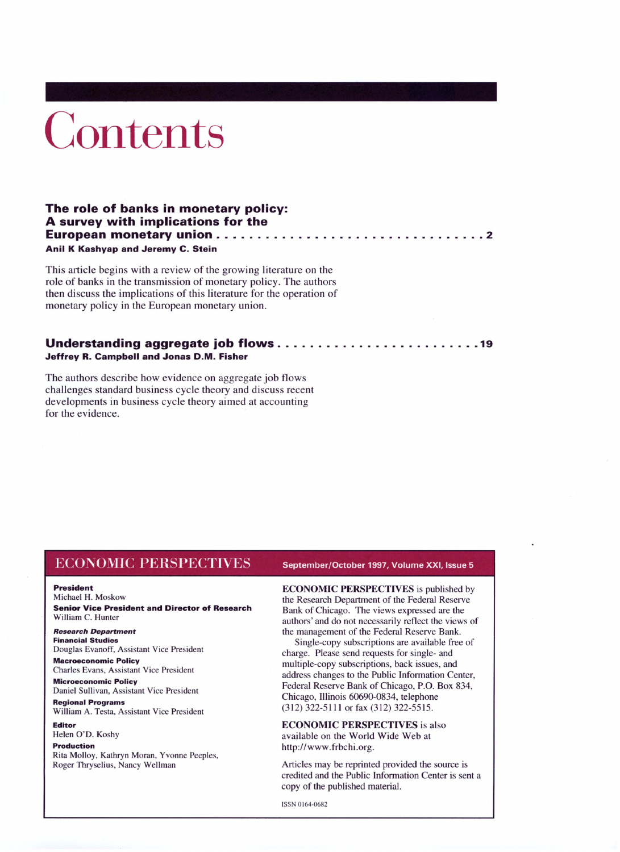# Contents

# **The role of banks in monetary policy: A survey with implications for the European monetary union................................................................................ <sup>2</sup> Anil K Kashyap and Jeremy C. Stein**

This article begins with a review of the growing literature on the role of banks in the transmission of monetary policy. The authors then discuss the implications of this literature for the operation of monetary policy in the European monetary union.

# **Understanding aggregate job flows............................................................ <sup>19</sup> Jeffrey R. Campbell and Jonas D.M. Fisher**

The authors describe how evidence on aggregate job flows challenges standard business cycle theory and discuss recent developments in business cycle theory aimed at accounting for the evidence.

# ECONOMIC PEIISPEC <sup>I</sup> l\ ES **September/October 1997, Volume XXI, Issue <sup>5</sup>**

#### **President**

Michael H. Moskow

**Senior Vice President and Director of Research** William C. Hunter

*Research Department* **Financial Studies** Douglas Evanoff, Assistant Vice President

**Macroeconomic Policy** Charles Evans, Assistant Vice President

**Microeconomic Policy** Daniel Sullivan, Assistant Vice President

**Regional Programs** William A. Testa, Assistant Vice President

**Editor** Helen O'D. Koshy

# **Production**

Rita Molloy, Kathryn Moran, Yvonne Peeples, Roger Thryselius, Nancy Wellman

**ECONOMIC PERSPECTIVES** is published by the Research Department of the Federal Reserve Bank of Chicago. The views expressed are the authors' and do not necessarily reflect the views of the management of the Federal Reserve Bank.

Single-copy subscriptions are available free of charge. Please send requests for single- and multiple-copy subscriptions, back issues, and address changes to the Public Information Center, Federal Reserve Bank of Chicago, P.O. Box 834, Chicago, Illinois 60690-0834, telephone (312) 322-5111 or fax (312) 322-5515.

**ECONOMIC PERSPECTIVES** is also available on the World Wide Web at http://www.frbchi.org.

Articles may be reprinted provided the source is credited and the Public Information Center is sent a copy of the published material.

ISSN 0164-0682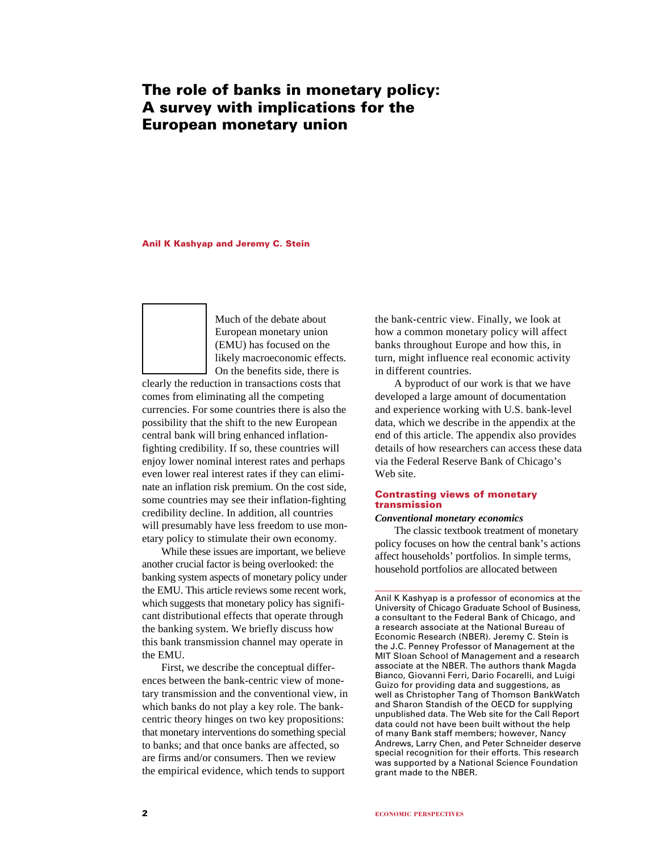# **The role of banks in monetary policy: A survey with implications for the European monetary union**

### **Anil K Kashyap and Jeremy C. Stein**

Much of the debate about European monetary union (EMU) has focused on the likely macroeconomic effects. On the benefits side, there is

clearly the reduction in transactions costs that comes from eliminating all the competing currencies. For some countries there is also the possibility that the shift to the new European central bank will bring enhanced inflationfighting credibility. If so, these countries will enjoy lower nominal interest rates and perhaps even lower real interest rates if they can eliminate an inflation risk premium. On the cost side, some countries may see their inflation-fighting credibility decline. In addition, all countries will presumably have less freedom to use monetary policy to stimulate their own economy.

While these issues are important, we believe another crucial factor is being overlooked: the banking system aspects of monetary policy under the EMU. This article reviews some recent work, which suggests that monetary policy has significant distributional effects that operate through the banking system. We briefly discuss how this bank transmission channel may operate in the EMU.

First, we describe the conceptual differences between the bank-centric view of monetary transmission and the conventional view, in which banks do not play a key role. The bankcentric theory hinges on two key propositions: that monetary interventions do something special to banks; and that once banks are affected, so are firms and/or consumers. Then we review the empirical evidence, which tends to support

the bank-centric view. Finally, we look at how a common monetary policy will affect banks throughout Europe and how this, in turn, might influence real economic activity in different countries.

A byproduct of our work is that we have developed a large amount of documentation and experience working with U.S. bank-level data, which we describe in the appendix at the end of this article. The appendix also provides details of how researchers can access these data via the Federal Reserve Bank of Chicago's Web site.

# **Contrasting views of monetary transmission**

#### *Conventional monetary economics*

The classic textbook treatment of monetary policy focuses on how the central bank's actions affect households' portfolios. In simple terms, household portfolios are allocated between

Anil K Kashyap is a professor of economics at the University of Chicago Graduate School of Business, a consultant to the Federal Bank of Chicago, and a research associate at the National Bureau of Economic Research (NBER). Jeremy C. Stein is the J.C. Penney Professor of Management at the MIT Sloan School of Management and a research associate at the NBER. The authors thank Magda Bianco, Giovanni Ferri, Dario Focarelli, and Luigi Guizo for providing data and suggestions, as well as Christopher Tang of Thomson BankWatch and Sharon Standish of the OECD for supplying unpublished data. The Web site for the Call Report data could not have been built without the help of many Bank staff members; however, Nancy Andrews, Larry Chen, and Peter Schneider deserve special recognition for their efforts. This research was supported by a National Science Foundation grant made to the NBER.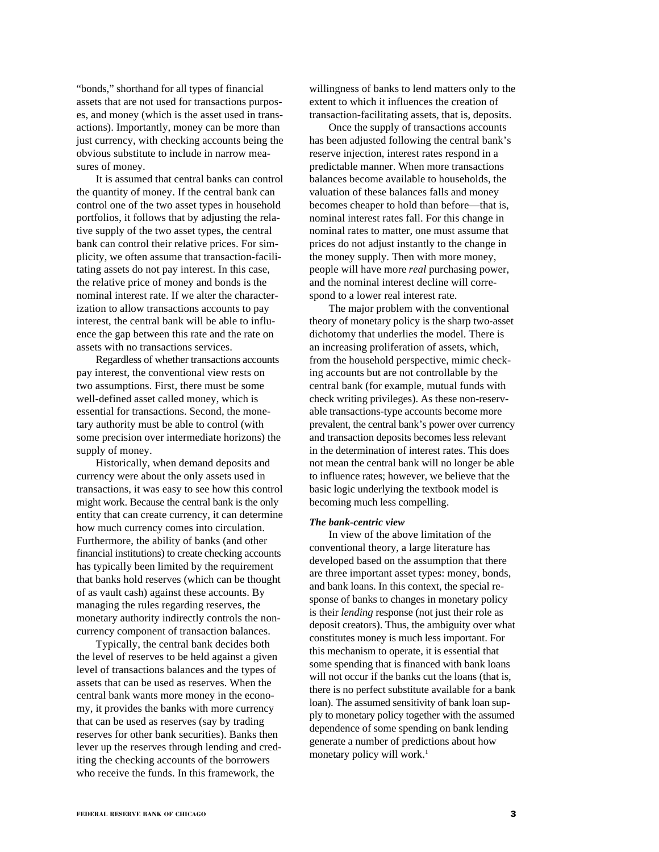"bonds," shorthand for all types of financial assets that are not used for transactions purposes, and money (which is the asset used in transactions). Importantly, money can be more than just currency, with checking accounts being the obvious substitute to include in narrow measures of money.

It is assumed that central banks can control the quantity of money. If the central bank can control one of the two asset types in household portfolios, it follows that by adjusting the relative supply of the two asset types, the central bank can control their relative prices. For simplicity, we often assume that transaction-facilitating assets do not pay interest. In this case, the relative price of money and bonds is the nominal interest rate. If we alter the characterization to allow transactions accounts to pay interest, the central bank will be able to influence the gap between this rate and the rate on assets with no transactions services.

Regardless of whether transactions accounts pay interest, the conventional view rests on two assumptions. First, there must be some well-defined asset called money, which is essential for transactions. Second, the monetary authority must be able to control (with some precision over intermediate horizons) the supply of money.

Historically, when demand deposits and currency were about the only assets used in transactions, it was easy to see how this control might work. Because the central bank is the only entity that can create currency, it can determine how much currency comes into circulation. Furthermore, the ability of banks (and other financial institutions) to create checking accounts has typically been limited by the requirement that banks hold reserves (which can be thought of as vault cash) against these accounts. By managing the rules regarding reserves, the monetary authority indirectly controls the noncurrency component of transaction balances.

Typically, the central bank decides both the level of reserves to be held against a given level of transactions balances and the types of assets that can be used as reserves. When the central bank wants more money in the economy, it provides the banks with more currency that can be used as reserves (say by trading reserves for other bank securities). Banks then lever up the reserves through lending and crediting the checking accounts of the borrowers who receive the funds. In this framework, the

willingness of banks to lend matters only to the extent to which it influences the creation of transaction-facilitating assets, that is, deposits.

Once the supply of transactions accounts has been adjusted following the central bank's reserve injection, interest rates respond in a predictable manner. When more transactions balances become available to households, the valuation of these balances falls and money becomes cheaper to hold than before—that is, nominal interest rates fall. For this change in nominal rates to matter, one must assume that prices do not adjust instantly to the change in the money supply. Then with more money, people will have more *real* purchasing power, and the nominal interest decline will correspond to a lower real interest rate.

The major problem with the conventional theory of monetary policy is the sharp two-asset dichotomy that underlies the model. There is an increasing proliferation of assets, which, from the household perspective, mimic checking accounts but are not controllable by the central bank (for example, mutual funds with check writing privileges). As these non-reservable transactions-type accounts become more prevalent, the central bank's power over currency and transaction deposits becomes less relevant in the determination of interest rates. This does not mean the central bank will no longer be able to influence rates; however, we believe that the basic logic underlying the textbook model is becoming much less compelling.

#### *The bank-centric view*

In view of the above limitation of the conventional theory, a large literature has developed based on the assumption that there are three important asset types: money, bonds, and bank loans. In this context, the special response of banks to changes in monetary policy is their *lending* response (not just their role as deposit creators). Thus, the ambiguity over what constitutes money is much less important. For this mechanism to operate, it is essential that some spending that is financed with bank loans will not occur if the banks cut the loans (that is, there is no perfect substitute available for a bank loan). The assumed sensitivity of bank loan supply to monetary policy together with the assumed dependence of some spending on bank lending generate a number of predictions about how monetary policy will work.<sup>1</sup>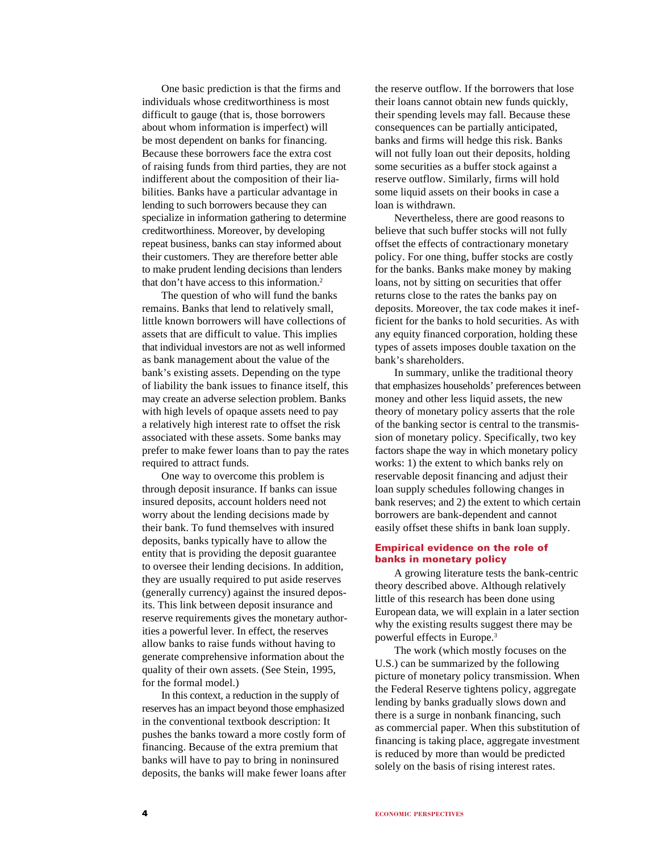One basic prediction is that the firms and individuals whose creditworthiness is most difficult to gauge (that is, those borrowers about whom information is imperfect) will be most dependent on banks for financing. Because these borrowers face the extra cost of raising funds from third parties, they are not indifferent about the composition of their liabilities. Banks have a particular advantage in lending to such borrowers because they can specialize in information gathering to determine creditworthiness. Moreover, by developing repeat business, banks can stay informed about their customers. They are therefore better able to make prudent lending decisions than lenders that don't have access to this information.2

The question of who will fund the banks remains. Banks that lend to relatively small, little known borrowers will have collections of assets that are difficult to value. This implies that individual investors are not as well informed as bank management about the value of the bank's existing assets. Depending on the type of liability the bank issues to finance itself, this may create an adverse selection problem. Banks with high levels of opaque assets need to pay a relatively high interest rate to offset the risk associated with these assets. Some banks may prefer to make fewer loans than to pay the rates required to attract funds.

One way to overcome this problem is through deposit insurance. If banks can issue insured deposits, account holders need not worry about the lending decisions made by their bank. To fund themselves with insured deposits, banks typically have to allow the entity that is providing the deposit guarantee to oversee their lending decisions. In addition, they are usually required to put aside reserves (generally currency) against the insured deposits. This link between deposit insurance and reserve requirements gives the monetary authorities a powerful lever. In effect, the reserves allow banks to raise funds without having to generate comprehensive information about the quality of their own assets. (See Stein, 1995, for the formal model.)

In this context, a reduction in the supply of reserves has an impact beyond those emphasized in the conventional textbook description: It pushes the banks toward a more costly form of financing. Because of the extra premium that banks will have to pay to bring in noninsured deposits, the banks will make fewer loans after

the reserve outflow. If the borrowers that lose their loans cannot obtain new funds quickly, their spending levels may fall. Because these consequences can be partially anticipated, banks and firms will hedge this risk. Banks will not fully loan out their deposits, holding some securities as a buffer stock against a reserve outflow. Similarly, firms will hold some liquid assets on their books in case a loan is withdrawn.

Nevertheless, there are good reasons to believe that such buffer stocks will not fully offset the effects of contractionary monetary policy. For one thing, buffer stocks are costly for the banks. Banks make money by making loans, not by sitting on securities that offer returns close to the rates the banks pay on deposits. Moreover, the tax code makes it inefficient for the banks to hold securities. As with any equity financed corporation, holding these types of assets imposes double taxation on the bank's shareholders.

In summary, unlike the traditional theory that emphasizes households' preferences between money and other less liquid assets, the new theory of monetary policy asserts that the role of the banking sector is central to the transmission of monetary policy. Specifically, two key factors shape the way in which monetary policy works: 1) the extent to which banks rely on reservable deposit financing and adjust their loan supply schedules following changes in bank reserves; and 2) the extent to which certain borrowers are bank-dependent and cannot easily offset these shifts in bank loan supply.

# **Empirical evidence on the role of banks in monetary policy**

A growing literature tests the bank-centric theory described above. Although relatively little of this research has been done using European data, we will explain in a later section why the existing results suggest there may be powerful effects in Europe.3

The work (which mostly focuses on the U.S.) can be summarized by the following picture of monetary policy transmission. When the Federal Reserve tightens policy, aggregate lending by banks gradually slows down and there is a surge in nonbank financing, such as commercial paper. When this substitution of financing is taking place, aggregate investment is reduced by more than would be predicted solely on the basis of rising interest rates.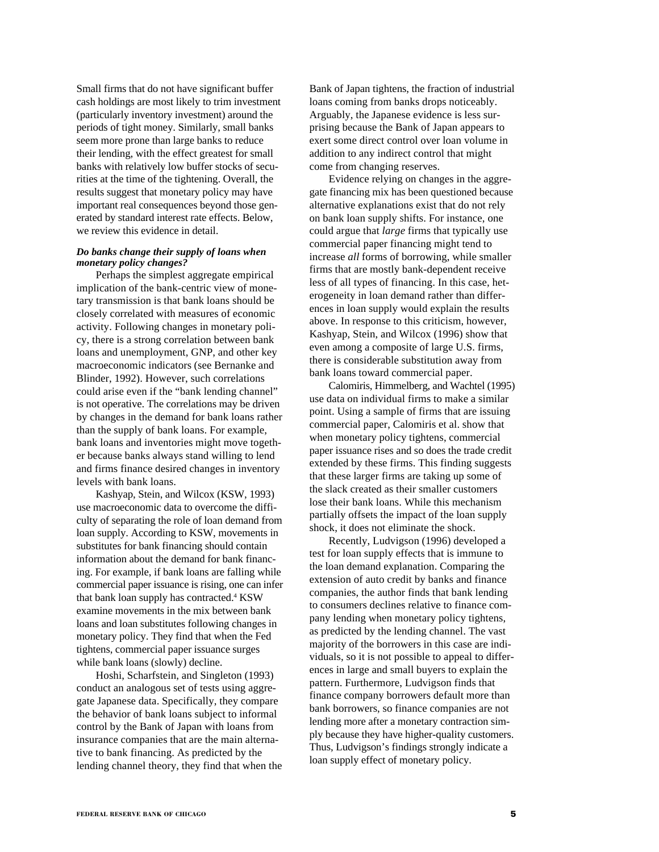Small firms that do not have significant buffer cash holdings are most likely to trim investment (particularly inventory investment) around the periods of tight money. Similarly, small banks seem more prone than large banks to reduce their lending, with the effect greatest for small banks with relatively low buffer stocks of securities at the time of the tightening. Overall, the results suggest that monetary policy may have important real consequences beyond those generated by standard interest rate effects. Below, we review this evidence in detail.

# *Do banks change their supply of loans when monetary policy changes?*

Perhaps the simplest aggregate empirical implication of the bank-centric view of monetary transmission is that bank loans should be closely correlated with measures of economic activity. Following changes in monetary policy, there is a strong correlation between bank loans and unemployment, GNP, and other key macroeconomic indicators (see Bernanke and Blinder, 1992). However, such correlations could arise even if the "bank lending channel" is not operative. The correlations may be driven by changes in the demand for bank loans rather than the supply of bank loans. For example, bank loans and inventories might move together because banks always stand willing to lend and firms finance desired changes in inventory levels with bank loans.

Kashyap, Stein, and Wilcox (KSW, 1993) use macroeconomic data to overcome the difficulty of separating the role of loan demand from loan supply. According to KSW, movements in substitutes for bank financing should contain information about the demand for bank financing. For example, if bank loans are falling while commercial paper issuance is rising, one can infer that bank loan supply has contracted.<sup>4</sup> KSW examine movements in the mix between bank loans and loan substitutes following changes in monetary policy. They find that when the Fed tightens, commercial paper issuance surges while bank loans (slowly) decline.

Hoshi, Scharfstein, and Singleton (1993) conduct an analogous set of tests using aggregate Japanese data. Specifically, they compare the behavior of bank loans subject to informal control by the Bank of Japan with loans from insurance companies that are the main alternative to bank financing. As predicted by the lending channel theory, they find that when the Bank of Japan tightens, the fraction of industrial loans coming from banks drops noticeably. Arguably, the Japanese evidence is less surprising because the Bank of Japan appears to exert some direct control over loan volume in addition to any indirect control that might come from changing reserves.

Evidence relying on changes in the aggregate financing mix has been questioned because alternative explanations exist that do not rely on bank loan supply shifts. For instance, one could argue that *large* firms that typically use commercial paper financing might tend to increase *all* forms of borrowing, while smaller firms that are mostly bank-dependent receive less of all types of financing. In this case, heterogeneity in loan demand rather than differences in loan supply would explain the results above. In response to this criticism, however, Kashyap, Stein, and Wilcox (1996) show that even among a composite of large U.S. firms, there is considerable substitution away from bank loans toward commercial paper.

Calomiris, Himmelberg, and Wachtel (1995) use data on individual firms to make a similar point. Using a sample of firms that are issuing commercial paper, Calomiris et al. show that when monetary policy tightens, commercial paper issuance rises and so does the trade credit extended by these firms. This finding suggests that these larger firms are taking up some of the slack created as their smaller customers lose their bank loans. While this mechanism partially offsets the impact of the loan supply shock, it does not eliminate the shock.

Recently, Ludvigson (1996) developed a test for loan supply effects that is immune to the loan demand explanation. Comparing the extension of auto credit by banks and finance companies, the author finds that bank lending to consumers declines relative to finance company lending when monetary policy tightens, as predicted by the lending channel. The vast majority of the borrowers in this case are individuals, so it is not possible to appeal to differences in large and small buyers to explain the pattern. Furthermore, Ludvigson finds that finance company borrowers default more than bank borrowers, so finance companies are not lending more after a monetary contraction simply because they have higher-quality customers. Thus, Ludvigson's findings strongly indicate a loan supply effect of monetary policy.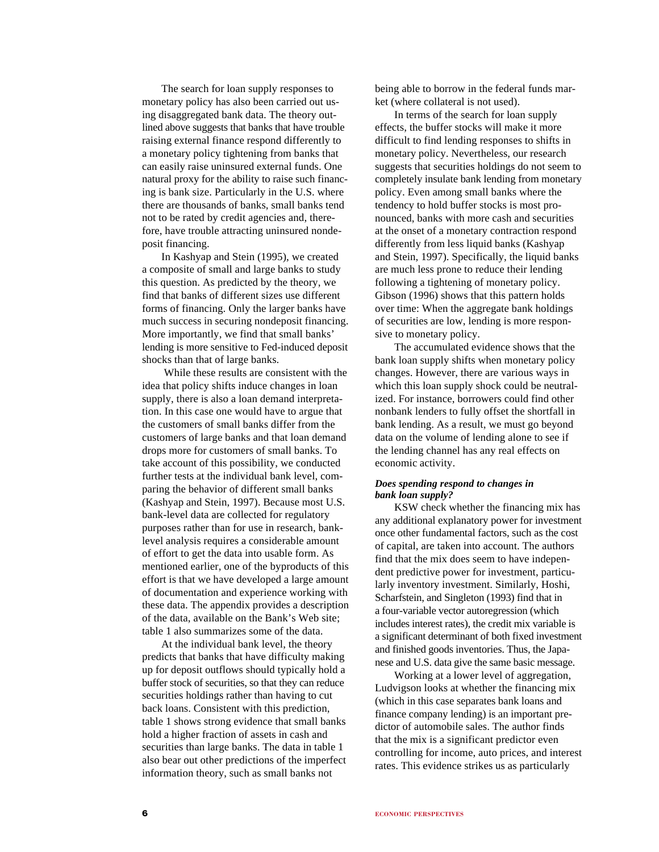The search for loan supply responses to monetary policy has also been carried out using disaggregated bank data. The theory outlined above suggests that banks that have trouble raising external finance respond differently to a monetary policy tightening from banks that can easily raise uninsured external funds. One natural proxy for the ability to raise such financing is bank size. Particularly in the U.S. where there are thousands of banks, small banks tend not to be rated by credit agencies and, therefore, have trouble attracting uninsured nondeposit financing.

In Kashyap and Stein (1995), we created a composite of small and large banks to study this question. As predicted by the theory, we find that banks of different sizes use different forms of financing. Only the larger banks have much success in securing nondeposit financing. More importantly, we find that small banks' lending is more sensitive to Fed-induced deposit shocks than that of large banks.

 While these results are consistent with the idea that policy shifts induce changes in loan supply, there is also a loan demand interpretation. In this case one would have to argue that the customers of small banks differ from the customers of large banks and that loan demand drops more for customers of small banks. To take account of this possibility, we conducted further tests at the individual bank level, comparing the behavior of different small banks (Kashyap and Stein, 1997). Because most U.S. bank-level data are collected for regulatory purposes rather than for use in research, banklevel analysis requires a considerable amount of effort to get the data into usable form. As mentioned earlier, one of the byproducts of this effort is that we have developed a large amount of documentation and experience working with these data. The appendix provides a description of the data, available on the Bank's Web site; table 1 also summarizes some of the data.

At the individual bank level, the theory predicts that banks that have difficulty making up for deposit outflows should typically hold a buffer stock of securities, so that they can reduce securities holdings rather than having to cut back loans. Consistent with this prediction, table 1 shows strong evidence that small banks hold a higher fraction of assets in cash and securities than large banks. The data in table 1 also bear out other predictions of the imperfect information theory, such as small banks not

being able to borrow in the federal funds market (where collateral is not used).

In terms of the search for loan supply effects, the buffer stocks will make it more difficult to find lending responses to shifts in monetary policy. Nevertheless, our research suggests that securities holdings do not seem to completely insulate bank lending from monetary policy. Even among small banks where the tendency to hold buffer stocks is most pronounced, banks with more cash and securities at the onset of a monetary contraction respond differently from less liquid banks (Kashyap and Stein, 1997). Specifically, the liquid banks are much less prone to reduce their lending following a tightening of monetary policy. Gibson (1996) shows that this pattern holds over time: When the aggregate bank holdings of securities are low, lending is more responsive to monetary policy.

The accumulated evidence shows that the bank loan supply shifts when monetary policy changes. However, there are various ways in which this loan supply shock could be neutralized. For instance, borrowers could find other nonbank lenders to fully offset the shortfall in bank lending. As a result, we must go beyond data on the volume of lending alone to see if the lending channel has any real effects on economic activity.

# *Does spending respond to changes in bank loan supply?*

KSW check whether the financing mix has any additional explanatory power for investment once other fundamental factors, such as the cost of capital, are taken into account. The authors find that the mix does seem to have independent predictive power for investment, particularly inventory investment. Similarly, Hoshi, Scharfstein, and Singleton (1993) find that in a four-variable vector autoregression (which includes interest rates), the credit mix variable is a significant determinant of both fixed investment and finished goods inventories. Thus, the Japanese and U.S. data give the same basic message.

Working at a lower level of aggregation, Ludvigson looks at whether the financing mix (which in this case separates bank loans and finance company lending) is an important predictor of automobile sales. The author finds that the mix is a significant predictor even controlling for income, auto prices, and interest rates. This evidence strikes us as particularly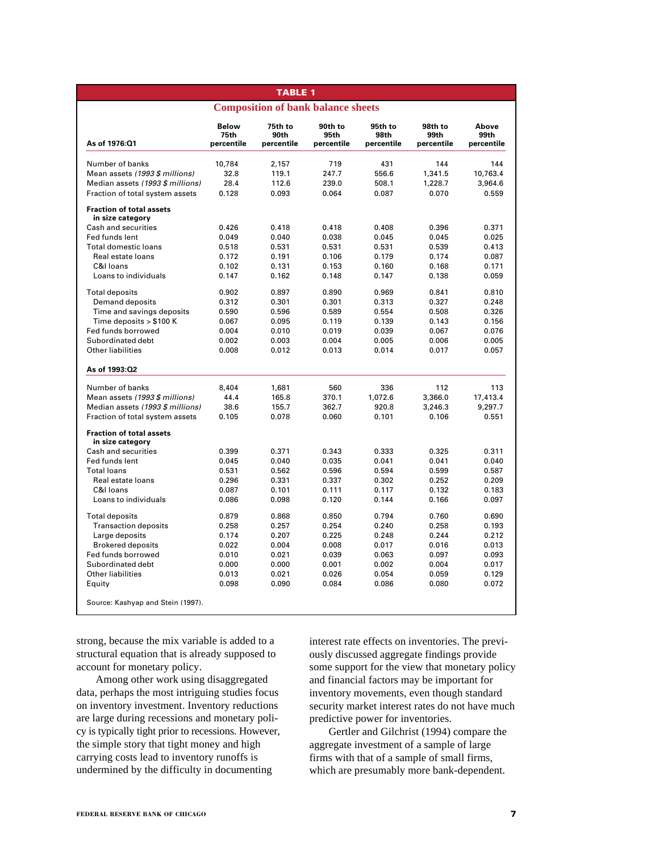|                                                     |                                    | <b>TABLE 1</b>                |                                           |                               |                               |                             |
|-----------------------------------------------------|------------------------------------|-------------------------------|-------------------------------------------|-------------------------------|-------------------------------|-----------------------------|
|                                                     |                                    |                               | <b>Composition of bank balance sheets</b> |                               |                               |                             |
| As of 1976:01                                       | <b>Below</b><br>75th<br>percentile | 75th to<br>90th<br>percentile | 90th to<br>95th<br>percentile             | 95th to<br>98th<br>percentile | 98th to<br>99th<br>percentile | Above<br>99th<br>percentile |
| Number of banks                                     | 10,784                             | 2,157                         | 719                                       | 431                           | 144                           | 144                         |
| Mean assets (1993 \$ millions)                      | 32.8                               | 119.1                         | 247.7                                     | 556.6                         | 1,341.5                       | 10,763.4                    |
| Median assets (1993 \$ millions)                    | 28.4                               | 112.6                         | 239.0                                     | 508.1                         | 1,228.7                       | 3,964.6                     |
| Fraction of total system assets                     | 0.128                              | 0.093                         | 0.064                                     | 0.087                         | 0.070                         | 0.559                       |
| <b>Fraction of total assets</b><br>in size category |                                    |                               |                                           |                               |                               |                             |
| Cash and securities                                 | 0.426                              | 0.418                         | 0.418                                     | 0.408                         | 0.396                         | 0.371                       |
| Fed funds lent                                      | 0.049                              | 0.040                         | 0.038                                     | 0.045                         | 0.045                         | 0.025                       |
| Total domestic loans                                | 0.518                              | 0.531                         | 0.531                                     | 0.531                         | 0.539                         | 0.413                       |
| Real estate loans                                   | 0.172                              | 0.191                         | 0.106                                     | 0.179                         | 0.174                         | 0.087                       |
| C&I loans                                           | 0.102                              | 0.131                         | 0.153                                     | 0.160                         | 0.168                         | 0.171                       |
| Loans to individuals                                | 0.147                              | 0.162                         | 0.148                                     | 0.147                         | 0.138                         | 0.059                       |
| <b>Total deposits</b>                               | 0.902                              | 0.897                         | 0.890                                     | 0.969                         | 0.841                         | 0.810                       |
| Demand deposits                                     | 0.312                              | 0.301                         | 0.301                                     | 0.313                         | 0.327                         | 0.248                       |
| Time and savings deposits                           | 0.590                              | 0.596                         | 0.589                                     | 0.554                         | 0.508                         | 0.326                       |
| Time deposits $> $100$ K                            | 0.067                              | 0.095                         | 0.119                                     | 0.139                         | 0.143                         | 0.156                       |
| Fed funds borrowed                                  | 0.004                              | 0.010                         | 0.019                                     | 0.039                         | 0.067                         | 0.076                       |
| Subordinated debt                                   | 0.002                              | 0.003                         | 0.004                                     | 0.005                         | 0.006                         | 0.005                       |
| <b>Other liabilities</b>                            | 0.008                              | 0.012                         | 0.013                                     | 0.014                         | 0.017                         | 0.057                       |
| As of 1993:Q2                                       |                                    |                               |                                           |                               |                               |                             |
| Number of banks                                     | 8.404                              | 1,681                         | 560                                       | 336                           | 112                           | 113                         |
| Mean assets (1993 \$ millions)                      | 44.4                               | 165.8                         | 370.1                                     | 1.072.6                       | 3,366.0                       | 17,413.4                    |
| Median assets (1993 \$ millions)                    | 38.6                               | 155.7                         | 362.7                                     | 920.8                         | 3,246.3                       | 9,297.7                     |
| Fraction of total system assets                     | 0.105                              | 0.078                         | 0.060                                     | 0.101                         | 0.106                         | 0.551                       |
| <b>Fraction of total assets</b><br>in size category |                                    |                               |                                           |                               |                               |                             |
| Cash and securities                                 | 0.399                              | 0.371                         | 0.343                                     | 0.333                         | 0.325                         | 0.311                       |
| Fed funds lent                                      | 0.045                              | 0.040                         | 0.035                                     | 0.041                         | 0.041                         | 0.040                       |
| Total loans                                         | 0.531                              | 0.562                         | 0.596                                     | 0.594                         | 0.599                         | 0.587                       |
| Real estate loans                                   | 0.296                              | 0.331                         | 0.337                                     | 0.302                         | 0.252                         | 0.209                       |
| C&I Ioans                                           | 0.087                              | 0.101                         | 0.111                                     | 0.117                         | 0.132                         | 0.183                       |
| Loans to individuals                                | 0.086                              | 0.098                         | 0.120                                     | 0.144                         | 0.166                         | 0.097                       |
| <b>Total deposits</b>                               | 0.879                              | 0.868                         | 0.850                                     | 0.794                         | 0.760                         | 0.690                       |
| <b>Transaction deposits</b>                         | 0.258                              | 0.257                         | 0.254                                     | 0.240                         | 0.258                         | 0.193                       |
| Large deposits                                      | 0.174                              | 0.207                         | 0.225                                     | 0.248                         | 0.244                         | 0.212                       |
| <b>Brokered deposits</b>                            | 0.022                              | 0.004                         | 0.008                                     | 0.017                         | 0.016                         | 0.013                       |
| Fed funds borrowed                                  | 0.010                              | 0.021                         | 0.039                                     | 0.063                         | 0.097                         | 0.093                       |
| Subordinated debt                                   | 0.000                              | 0.000                         | 0.001                                     | 0.002                         | 0.004                         | 0.017                       |
| <b>Other liabilities</b>                            | 0.013                              | 0.021                         | 0.026                                     | 0.054                         | 0.059                         | 0.129                       |
| Eauity                                              | 0.098                              | 0.090                         | 0.084                                     | 0.086                         | 0.080                         | 0.072                       |
| Source: Kashyap and Stein (1997).                   |                                    |                               |                                           |                               |                               |                             |

strong, because the mix variable is added to a structural equation that is already supposed to account for monetary policy.

Among other work using disaggregated data, perhaps the most intriguing studies focus on inventory investment. Inventory reductions are large during recessions and monetary policy is typically tight prior to recessions. However, the simple story that tight money and high carrying costs lead to inventory runoffs is undermined by the difficulty in documenting

interest rate effects on inventories. The previously discussed aggregate findings provide some support for the view that monetary policy and financial factors may be important for inventory movements, even though standard security market interest rates do not have much predictive power for inventories.

Gertler and Gilchrist (1994) compare the aggregate investment of a sample of large firms with that of a sample of small firms, which are presumably more bank-dependent.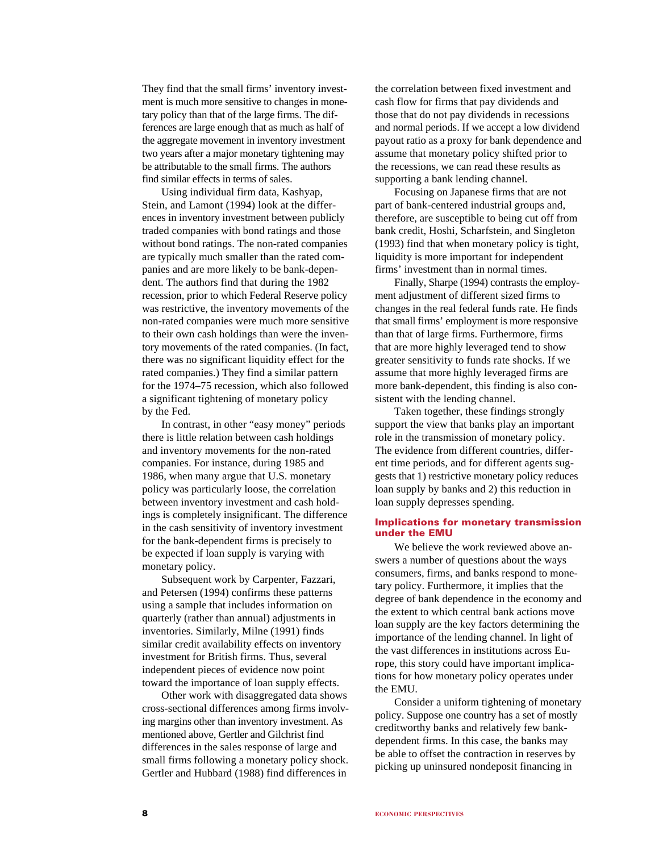They find that the small firms' inventory investment is much more sensitive to changes in monetary policy than that of the large firms. The differences are large enough that as much as half of the aggregate movement in inventory investment two years after a major monetary tightening may be attributable to the small firms. The authors find similar effects in terms of sales.

Using individual firm data, Kashyap, Stein, and Lamont (1994) look at the differences in inventory investment between publicly traded companies with bond ratings and those without bond ratings. The non-rated companies are typically much smaller than the rated companies and are more likely to be bank-dependent. The authors find that during the 1982 recession, prior to which Federal Reserve policy was restrictive, the inventory movements of the non-rated companies were much more sensitive to their own cash holdings than were the inventory movements of the rated companies. (In fact, there was no significant liquidity effect for the rated companies.) They find a similar pattern for the 1974–75 recession, which also followed a significant tightening of monetary policy by the Fed.

In contrast, in other "easy money" periods there is little relation between cash holdings and inventory movements for the non-rated companies. For instance, during 1985 and 1986, when many argue that U.S. monetary policy was particularly loose, the correlation between inventory investment and cash holdings is completely insignificant. The difference in the cash sensitivity of inventory investment for the bank-dependent firms is precisely to be expected if loan supply is varying with monetary policy.

Subsequent work by Carpenter, Fazzari, and Petersen (1994) confirms these patterns using a sample that includes information on quarterly (rather than annual) adjustments in inventories. Similarly, Milne (1991) finds similar credit availability effects on inventory investment for British firms. Thus, several independent pieces of evidence now point toward the importance of loan supply effects.

Other work with disaggregated data shows cross-sectional differences among firms involving margins other than inventory investment. As mentioned above, Gertler and Gilchrist find differences in the sales response of large and small firms following a monetary policy shock. Gertler and Hubbard (1988) find differences in

the correlation between fixed investment and cash flow for firms that pay dividends and those that do not pay dividends in recessions and normal periods. If we accept a low dividend payout ratio as a proxy for bank dependence and assume that monetary policy shifted prior to the recessions, we can read these results as supporting a bank lending channel.

Focusing on Japanese firms that are not part of bank-centered industrial groups and, therefore, are susceptible to being cut off from bank credit, Hoshi, Scharfstein, and Singleton (1993) find that when monetary policy is tight, liquidity is more important for independent firms' investment than in normal times.

Finally, Sharpe (1994) contrasts the employment adjustment of different sized firms to changes in the real federal funds rate. He finds that small firms' employment is more responsive than that of large firms. Furthermore, firms that are more highly leveraged tend to show greater sensitivity to funds rate shocks. If we assume that more highly leveraged firms are more bank-dependent, this finding is also consistent with the lending channel.

Taken together, these findings strongly support the view that banks play an important role in the transmission of monetary policy. The evidence from different countries, different time periods, and for different agents suggests that 1) restrictive monetary policy reduces loan supply by banks and 2) this reduction in loan supply depresses spending.

# **Implications for monetary transmission under the EMU**

We believe the work reviewed above answers a number of questions about the ways consumers, firms, and banks respond to monetary policy. Furthermore, it implies that the degree of bank dependence in the economy and the extent to which central bank actions move loan supply are the key factors determining the importance of the lending channel. In light of the vast differences in institutions across Europe, this story could have important implications for how monetary policy operates under the EMU.

Consider a uniform tightening of monetary policy. Suppose one country has a set of mostly creditworthy banks and relatively few bankdependent firms. In this case, the banks may be able to offset the contraction in reserves by picking up uninsured nondeposit financing in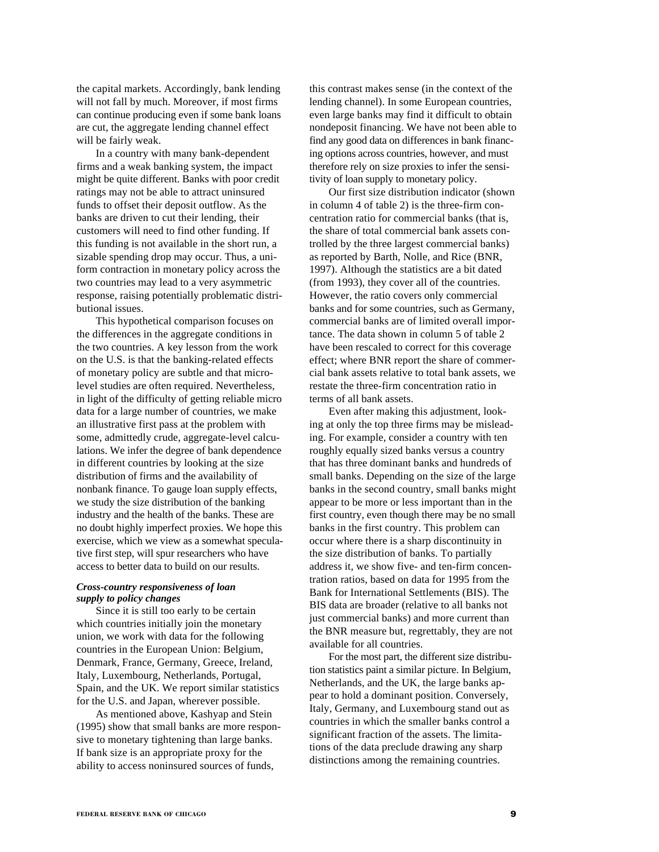the capital markets. Accordingly, bank lending will not fall by much. Moreover, if most firms can continue producing even if some bank loans are cut, the aggregate lending channel effect will be fairly weak.

In a country with many bank-dependent firms and a weak banking system, the impact might be quite different. Banks with poor credit ratings may not be able to attract uninsured funds to offset their deposit outflow. As the banks are driven to cut their lending, their customers will need to find other funding. If this funding is not available in the short run, a sizable spending drop may occur. Thus, a uniform contraction in monetary policy across the two countries may lead to a very asymmetric response, raising potentially problematic distributional issues.

This hypothetical comparison focuses on the differences in the aggregate conditions in the two countries. A key lesson from the work on the U.S. is that the banking-related effects of monetary policy are subtle and that microlevel studies are often required. Nevertheless, in light of the difficulty of getting reliable micro data for a large number of countries, we make an illustrative first pass at the problem with some, admittedly crude, aggregate-level calculations. We infer the degree of bank dependence in different countries by looking at the size distribution of firms and the availability of nonbank finance. To gauge loan supply effects, we study the size distribution of the banking industry and the health of the banks. These are no doubt highly imperfect proxies. We hope this exercise, which we view as a somewhat speculative first step, will spur researchers who have access to better data to build on our results.

# *Cross-country responsiveness of loan supply to policy changes*

Since it is still too early to be certain which countries initially join the monetary union, we work with data for the following countries in the European Union: Belgium, Denmark, France, Germany, Greece, Ireland, Italy, Luxembourg, Netherlands, Portugal, Spain, and the UK. We report similar statistics for the U.S. and Japan, wherever possible.

As mentioned above, Kashyap and Stein (1995) show that small banks are more responsive to monetary tightening than large banks. If bank size is an appropriate proxy for the ability to access noninsured sources of funds,

this contrast makes sense (in the context of the lending channel). In some European countries, even large banks may find it difficult to obtain nondeposit financing. We have not been able to find any good data on differences in bank financing options across countries, however, and must therefore rely on size proxies to infer the sensitivity of loan supply to monetary policy.

Our first size distribution indicator (shown in column 4 of table 2) is the three-firm concentration ratio for commercial banks (that is, the share of total commercial bank assets controlled by the three largest commercial banks) as reported by Barth, Nolle, and Rice (BNR, 1997). Although the statistics are a bit dated (from 1993), they cover all of the countries. However, the ratio covers only commercial banks and for some countries, such as Germany, commercial banks are of limited overall importance. The data shown in column 5 of table 2 have been rescaled to correct for this coverage effect; where BNR report the share of commercial bank assets relative to total bank assets, we restate the three-firm concentration ratio in terms of all bank assets.

Even after making this adjustment, looking at only the top three firms may be misleading. For example, consider a country with ten roughly equally sized banks versus a country that has three dominant banks and hundreds of small banks. Depending on the size of the large banks in the second country, small banks might appear to be more or less important than in the first country, even though there may be no small banks in the first country. This problem can occur where there is a sharp discontinuity in the size distribution of banks. To partially address it, we show five- and ten-firm concentration ratios, based on data for 1995 from the Bank for International Settlements (BIS). The BIS data are broader (relative to all banks not just commercial banks) and more current than the BNR measure but, regrettably, they are not available for all countries.

For the most part, the different size distribution statistics paint a similar picture. In Belgium, Netherlands, and the UK, the large banks appear to hold a dominant position. Conversely, Italy, Germany, and Luxembourg stand out as countries in which the smaller banks control a significant fraction of the assets. The limitations of the data preclude drawing any sharp distinctions among the remaining countries.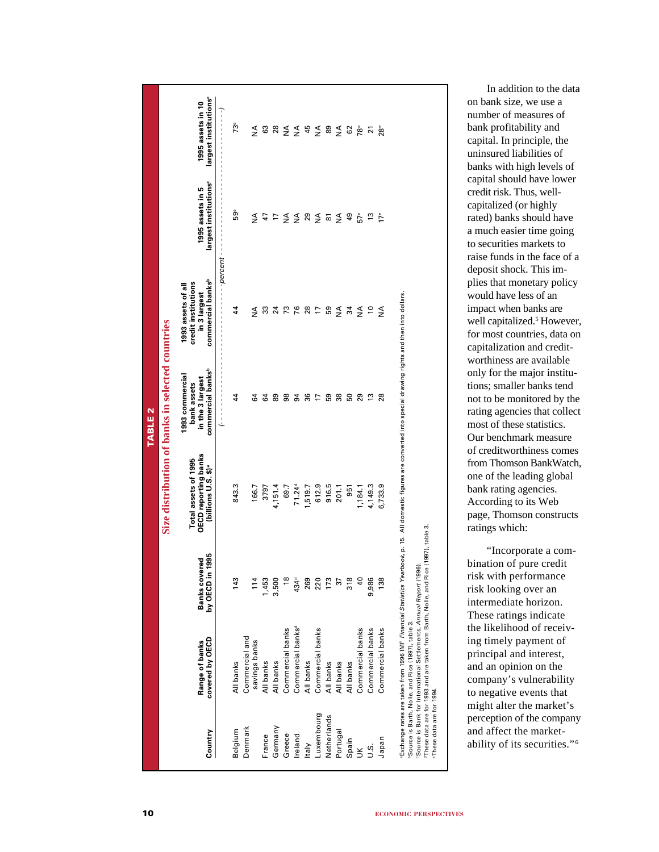|                          |                                                                                                                                        |                                            |                                                                                                                                                                            | <b>TABLE 2</b>                                                                      |                                                                                            |                                                       |                                                       |
|--------------------------|----------------------------------------------------------------------------------------------------------------------------------------|--------------------------------------------|----------------------------------------------------------------------------------------------------------------------------------------------------------------------------|-------------------------------------------------------------------------------------|--------------------------------------------------------------------------------------------|-------------------------------------------------------|-------------------------------------------------------|
|                          |                                                                                                                                        |                                            | Size distribution of banks in selected countries                                                                                                                           |                                                                                     |                                                                                            |                                                       |                                                       |
| Country                  | covered by OECD<br>Range of banks                                                                                                      | 1995<br>۹Ó,<br>Banks cover<br>by OECD in 1 | OECD reporting banks<br>(billions U.S. \$) <sup>a</sup><br>Total assets of 1995                                                                                            | commercial banks <sup>b</sup><br>1993 commercial<br>in the 3 largest<br>bank assets | commercial banks <sup>b</sup><br>credit institutions<br>1993 assets of all<br>in 3 largest | largest institutions <sup>®</sup><br>1995 assets in 5 | argest institutions <sup>®</sup><br>1995 assets in 10 |
|                          |                                                                                                                                        |                                            |                                                                                                                                                                            | į                                                                                   | --percent                                                                                  |                                                       | $\frac{1}{2}$                                         |
| Belgium                  | All banks                                                                                                                              | 143                                        | 843.3                                                                                                                                                                      | 44                                                                                  | 44                                                                                         | စီ                                                    | $73^{\circ}$                                          |
| Denmark                  | Commercial and                                                                                                                         |                                            |                                                                                                                                                                            |                                                                                     |                                                                                            |                                                       |                                                       |
|                          | savings banks                                                                                                                          | 114                                        | 166.7                                                                                                                                                                      | 64                                                                                  | ≸                                                                                          | ≸                                                     | ≸                                                     |
| France                   | All banks                                                                                                                              | 1,453                                      | 3797                                                                                                                                                                       | 54                                                                                  | 33                                                                                         |                                                       | 3                                                     |
| Germany                  | All banks                                                                                                                              | 3,500                                      | 4,151.4                                                                                                                                                                    | 89                                                                                  | $\overline{2}$                                                                             | 47<br>7                                               | 28                                                    |
| Greece                   | Commercial banks                                                                                                                       |                                            | 69.7                                                                                                                                                                       | 88                                                                                  | $\mathfrak{c}_1$                                                                           | $\frac{4}{2}$                                         | $\frac{4}{2}$                                         |
| Ireland                  | Commercial banks <sup>d</sup>                                                                                                          | 434 <sup>d</sup>                           | $71.24^{d}$                                                                                                                                                                | $\overline{5}$                                                                      | 76                                                                                         | $\leq$ 29                                             | $\frac{4}{2}$                                         |
| <b>Italy</b>             | All banks                                                                                                                              | 269                                        | 1,519.7                                                                                                                                                                    | 36                                                                                  | 28                                                                                         |                                                       | 45                                                    |
| Luxembourg               | Commercial banks                                                                                                                       | 220                                        | 612.9                                                                                                                                                                      | $\overline{1}$                                                                      | $\overline{1}$                                                                             | $\frac{4}{2}$                                         | $\frac{4}{2}$                                         |
| Netherlands              | All banks                                                                                                                              | 173                                        | 916.5                                                                                                                                                                      | 59                                                                                  | 59                                                                                         | <u>ა</u>                                              | 89                                                    |
| Portugal                 | All banks                                                                                                                              | 57                                         | 201.1                                                                                                                                                                      | $\frac{8}{3}$                                                                       | $\frac{3}{2}$                                                                              | $\frac{4}{2}$                                         | $\frac{4}{2}$                                         |
| Spain                    | All banks                                                                                                                              | $\frac{8}{3}$                              | 951                                                                                                                                                                        | 50                                                                                  | 34                                                                                         | 49                                                    | 62                                                    |
| $\leq$                   | Commercial banks                                                                                                                       |                                            | 1,184.1                                                                                                                                                                    | 29                                                                                  | $\frac{4}{2}$                                                                              | $5^{\circ}$                                           | Å®                                                    |
| ة.<br>ت                  | Commercial banks                                                                                                                       | 9,986                                      | 4,149.3                                                                                                                                                                    | 13                                                                                  | S                                                                                          | $\frac{1}{2}$                                         | $\overline{2}$                                        |
| Japan                    | Commercial banks                                                                                                                       | 138                                        | 6,733.9                                                                                                                                                                    | 28                                                                                  | $\frac{4}{2}$                                                                              | $17^{\circ}$                                          | $28^{\circ}$                                          |
|                          |                                                                                                                                        |                                            | Exchange rates are taken from 1996 IMF <i>Financial Statistics Yearbook</i> , p. 15. All domestic figures are converted into special drawing rights and then into dollars. |                                                                                     |                                                                                            |                                                       |                                                       |
|                          | Source is Barth, Nolle, and Rice (1997), table 3.                                                                                      |                                            |                                                                                                                                                                            |                                                                                     |                                                                                            |                                                       |                                                       |
|                          | Source is Bank for International Settlements, Annual Report (1996<br>These data are for 1993 and are taken from Barth, Nolle, and Rice | (1997), table 3.                           |                                                                                                                                                                            |                                                                                     |                                                                                            |                                                       |                                                       |
| These data are for 1994. |                                                                                                                                        |                                            |                                                                                                                                                                            |                                                                                     |                                                                                            |                                                       |                                                       |

In addition to the data on bank size, we use a number of measures of bank profitability and capital. In principle, the uninsured liabilities of banks with high levels of capital should have lower credit risk. Thus, wellcapitalized (or highly rated) banks should have a much easier time going to securities markets to raise funds in the face of a deposit shock. This implies that monetary policy would have less of an impact when banks are well capitalized.<sup>5</sup> However, for most countries, data on capitalization and creditworthiness are available only for the major institutions; smaller banks tend not to be monitored by the rating agencies that collect most of these statistics. Our benchmark measure of creditworthiness comes from Thomson BankWatch, one of the leading global bank rating agencies. According to its Web page, Thomson constructs ratings which:

"Incorporate a combination of pure credit risk with performance risk looking over an intermediate horizon. These ratings indicate the likelihood of receiving timely payment of principal and interest, and an opinion on the company's vulnerability to negative events that might alter the market's perception of the company and affect the marketability of its securities." 6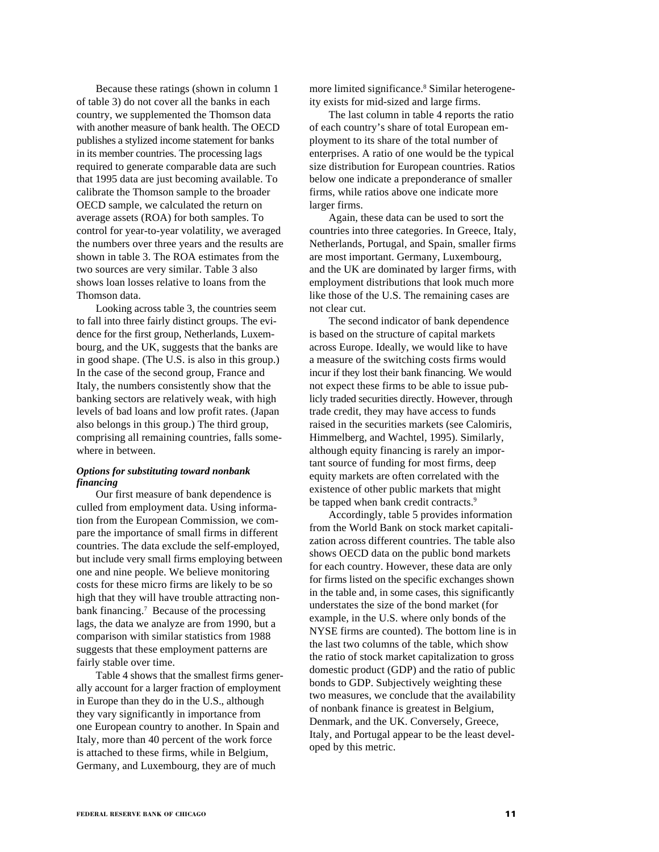Because these ratings (shown in column 1 of table 3) do not cover all the banks in each country, we supplemented the Thomson data with another measure of bank health. The OECD publishes a stylized income statement for banks in its member countries. The processing lags required to generate comparable data are such that 1995 data are just becoming available. To calibrate the Thomson sample to the broader OECD sample, we calculated the return on average assets (ROA) for both samples. To control for year-to-year volatility, we averaged the numbers over three years and the results are shown in table 3. The ROA estimates from the two sources are very similar. Table 3 also shows loan losses relative to loans from the Thomson data.

Looking across table 3, the countries seem to fall into three fairly distinct groups. The evidence for the first group, Netherlands, Luxembourg, and the UK, suggests that the banks are in good shape. (The U.S. is also in this group.) In the case of the second group, France and Italy, the numbers consistently show that the banking sectors are relatively weak, with high levels of bad loans and low profit rates. (Japan also belongs in this group.) The third group, comprising all remaining countries, falls somewhere in between.

# *Options for substituting toward nonbank financing*

Our first measure of bank dependence is culled from employment data. Using information from the European Commission, we compare the importance of small firms in different countries. The data exclude the self-employed, but include very small firms employing between one and nine people. We believe monitoring costs for these micro firms are likely to be so high that they will have trouble attracting nonbank financing.<sup>7</sup> Because of the processing lags, the data we analyze are from 1990, but a comparison with similar statistics from 1988 suggests that these employment patterns are fairly stable over time.

Table 4 shows that the smallest firms generally account for a larger fraction of employment in Europe than they do in the U.S., although they vary significantly in importance from one European country to another. In Spain and Italy, more than 40 percent of the work force is attached to these firms, while in Belgium, Germany, and Luxembourg, they are of much

more limited significance.<sup>8</sup> Similar heterogeneity exists for mid-sized and large firms.

The last column in table 4 reports the ratio of each country's share of total European employment to its share of the total number of enterprises. A ratio of one would be the typical size distribution for European countries. Ratios below one indicate a preponderance of smaller firms, while ratios above one indicate more larger firms.

Again, these data can be used to sort the countries into three categories. In Greece, Italy, Netherlands, Portugal, and Spain, smaller firms are most important. Germany, Luxembourg, and the UK are dominated by larger firms, with employment distributions that look much more like those of the U.S. The remaining cases are not clear cut.

The second indicator of bank dependence is based on the structure of capital markets across Europe. Ideally, we would like to have a measure of the switching costs firms would incur if they lost their bank financing. We would not expect these firms to be able to issue publicly traded securities directly. However, through trade credit, they may have access to funds raised in the securities markets (see Calomiris, Himmelberg, and Wachtel, 1995). Similarly, although equity financing is rarely an important source of funding for most firms, deep equity markets are often correlated with the existence of other public markets that might be tapped when bank credit contracts.<sup>9</sup>

Accordingly, table 5 provides information from the World Bank on stock market capitalization across different countries. The table also shows OECD data on the public bond markets for each country. However, these data are only for firms listed on the specific exchanges shown in the table and, in some cases, this significantly understates the size of the bond market (for example, in the U.S. where only bonds of the NYSE firms are counted). The bottom line is in the last two columns of the table, which show the ratio of stock market capitalization to gross domestic product (GDP) and the ratio of public bonds to GDP. Subjectively weighting these two measures, we conclude that the availability of nonbank finance is greatest in Belgium, Denmark, and the UK. Conversely, Greece, Italy, and Portugal appear to be the least developed by this metric.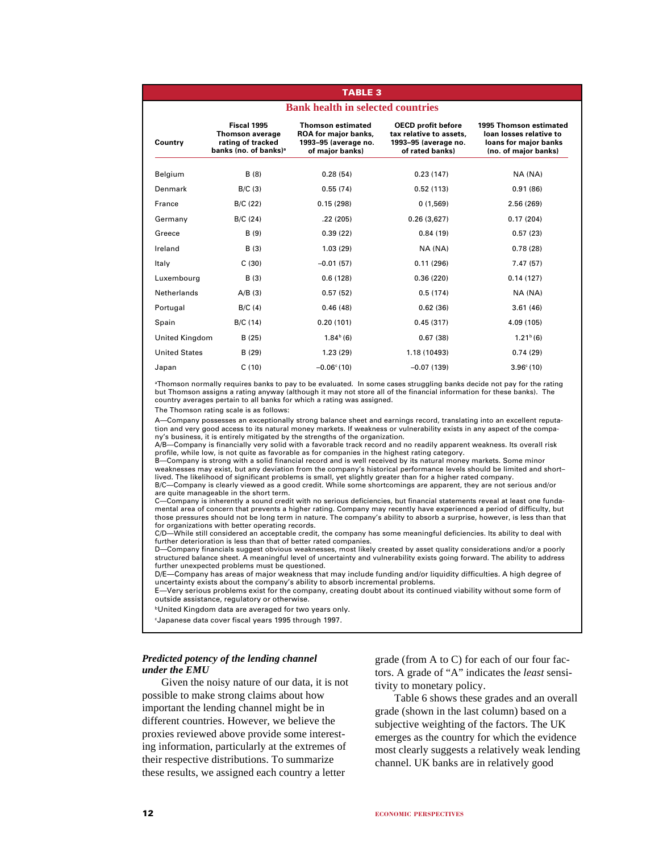# **Bank health in selected countries TABLE 3 Fiscal 1995 Thomson estimated OECD profit before 1995 Thomson estimated Thomson average ROA for major banks, tax relative to assets, loan losses relative to Country rating of tracked 1993–95 (average no. 1993–95 (average no. loans for major banks banks (no. of banks)<sup>a</sup>** Belgium B (8) 0.28 (54) 0.23 (147) NA (NA) Denmark B/C (3) 0.55 (74) 0.52 (113) 0.91 (86) France B/C (22) 0.15 (298) 0 (1,569) 2.56 (269) Germany B/C (24) .22 (205) 0.26 (3,627) 0.17 (204) Greece B (9) 0.39 (22) 0.84 (19) 0.57 (23) Ireland B (3) 1.03 (29) NA (NA) 0.78 (28) Italy C (30) –0.01 (57) 0.11 (296) 7.47 (57) Luxembourg B (3) 0.6 (128) 0.36 (220) 0.14 (127) Netherlands A/B (3) 0.57 (52) 0.5 (174) NA (NA) Portugal B/C (4) 0.46 (48) 0.62 (36) 3.61 (46) Spain B/C (14) 0.20 (101) 0.45 (317) 4.09 (105) United Kingdom B (25) 1.84b (6) 0.67 (38) 1.21b (6) United States B (29) 1.23 (29) 1.18 (10493) 0.74 (29) Japan C (10) –0.06c (10) –0.07 (139) 3.96c (10)

aThomson normally requires banks to pay to be evaluated. In some cases struggling banks decide not pay for the rating but Thomson assigns a rating anyway (although it may not store all of the financial information for these banks). The country averages pertain to all banks for which a rating was assigned.

The Thomson rating scale is as follows:

A—Company possesses an exceptionally strong balance sheet and earnings record, translating into an excellent reputation and very good access to its natural money markets. If weakness or vulnerability exists in any aspect of the company's business, it is entirely mitigated by the strengths of the organization.

A/B—Company is financially very solid with a favorable track record and no readily apparent weakness. Its overall risk profile, while low, is not quite as favorable as for companies in the highest rating category.

B—Company is strong with a solid financial record and is well received by its natural money markets. Some minor weaknesses may exist, but any deviation from the company's historical performance levels should be limited and short– lived. The likelihood of significant problems is small, yet slightly greater than for a higher rated company.

B/C—Company is clearly viewed as a good credit. While some shortcomings are apparent, they are not serious and/or are quite manageable in the short term.

C—Company is inherently a sound credit with no serious deficiencies, but financial statements reveal at least one fundamental area of concern that prevents a higher rating. Company may recently have experienced a period of difficulty, but those pressures should not be long term in nature. The company's ability to absorb a surprise, however, is less than that for organizations with better operating records.

C/D—While still considered an acceptable credit, the company has some meaningful deficiencies. Its ability to deal with further deterioration is less than that of better rated companies.

D—Company financials suggest obvious weaknesses, most likely created by asset quality considerations and/or a poorly structured balance sheet. A meaningful level of uncertainty and vulnerability exists going forward. The ability to address further unexpected problems must be questioned.

D/E—Company has areas of major weakness that may include funding and/or liquidity difficulties. A high degree of uncertainty exists about the company's ability to absorb incremental problems.

E—Very serious problems exist for the company, creating doubt about its continued viability without some form of outside assistance, regulatory or otherwise.

bUnited Kingdom data are averaged for two years only.

cJapanese data cover fiscal years 1995 through 1997.

# *Predicted potency of the lending channel under the EMU*

Given the noisy nature of our data, it is not possible to make strong claims about how important the lending channel might be in different countries. However, we believe the proxies reviewed above provide some interesting information, particularly at the extremes of their respective distributions. To summarize these results, we assigned each country a letter

grade (from A to C) for each of our four factors. A grade of "A" indicates the *least* sensitivity to monetary policy.

Table 6 shows these grades and an overall grade (shown in the last column) based on a subjective weighting of the factors. The UK emerges as the country for which the evidence most clearly suggests a relatively weak lending channel. UK banks are in relatively good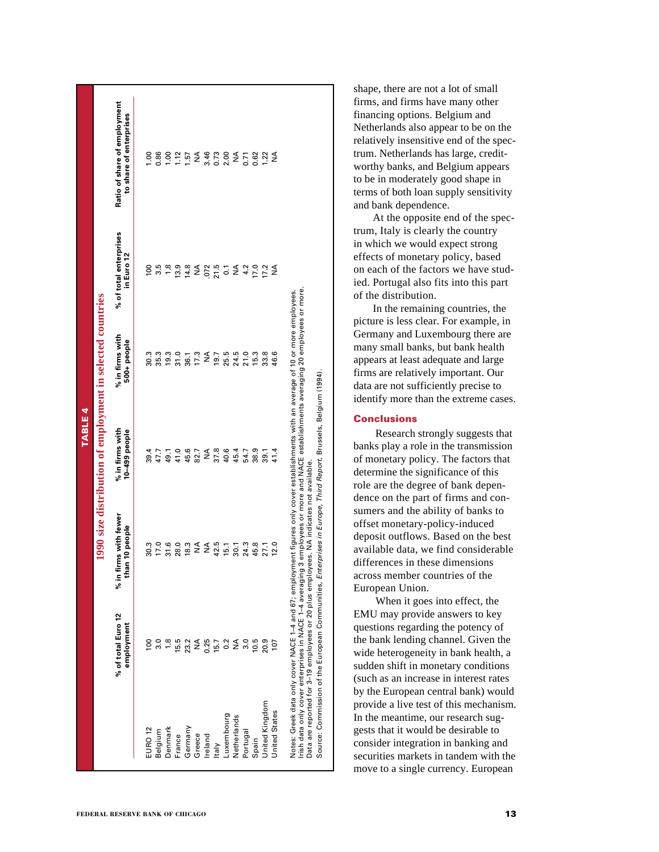|                |                                                            | Ratio of share of employment<br>to share of enterprises |                    |                 |         |        |                            |                  | $0.880775487847877877878$              |                    |                         |                      |          |       |                      |                |                      |                                                                                                                                                                                                                                                                                                                                                                                         | shape, there are not a lot of small<br>firms, and firms have many other<br>financing options. Belgium and<br>Netherlands also appear to be on the<br>relatively insensitive end of the spec-<br>trum. Netherlands has large, credit-<br>worthy banks, and Belgium appears<br>to be in moderately good shape in<br>terms of both loan supply sensitivity<br>and bank dependence. |
|----------------|------------------------------------------------------------|---------------------------------------------------------|--------------------|-----------------|---------|--------|----------------------------|------------------|----------------------------------------|--------------------|-------------------------|----------------------|----------|-------|----------------------|----------------|----------------------|-----------------------------------------------------------------------------------------------------------------------------------------------------------------------------------------------------------------------------------------------------------------------------------------------------------------------------------------------------------------------------------------|---------------------------------------------------------------------------------------------------------------------------------------------------------------------------------------------------------------------------------------------------------------------------------------------------------------------------------------------------------------------------------|
|                |                                                            | % of total enterprises<br>in Euro 12                    |                    |                 |         |        |                            |                  | $0.58984N574N9N4$<br>$0.59984N574N9N4$ |                    |                         |                      |          |       |                      |                |                      |                                                                                                                                                                                                                                                                                                                                                                                         | At the opposite end of the spec-<br>trum, Italy is clearly the country<br>in which we would expect strong<br>effects of monetary policy, based<br>on each of the factors we have stud-<br>ied. Portugal also fits into this part<br>of the distribution.<br>In the remaining countries, the                                                                                     |
|                | 1990 size distribution of employment in selected countries | % in firms with<br>$500+$ people                        |                    |                 |         |        | 303301<br>38301<br>385     | 17.3             |                                        | $\frac{19.7}{9.7}$ |                         | 25.5<br>24.5<br>21.0 |          | 15.3  |                      | 33.6<br>46.6   |                      |                                                                                                                                                                                                                                                                                                                                                                                         | picture is less clear. For example, in<br>Germany and Luxembourg there are<br>many small banks, but bank health<br>appears at least adequate and large<br>firms are relatively important. Our<br>data are not sufficiently precise to<br>identify more than the extreme cases.                                                                                                  |
| <b>TABLE 4</b> |                                                            | % in firms with<br>10-499 people                        |                    | 39.4<br>47.7    | 49.1    |        | $41.0$<br>$45.6$           | 82.7             |                                        |                    | $M$<br>$37.8$<br>$45.4$ |                      | 54.7     | 38.9  |                      | $39.1$<br>41.4 |                      |                                                                                                                                                                                                                                                                                                                                                                                         | <b>Conclusions</b><br>Research strongly suggests that<br>banks play a role in the transmission<br>of monetary policy. The factors that<br>determine the significance of this<br>role are the degree of bank depen-<br>dence on the part of firms and con-                                                                                                                       |
|                |                                                            | % in firms with fewer<br>n 10 people<br>tha             |                    | 30.3<br>17.0    |         |        | $3,00$<br>$3,00$<br>$18,3$ | $\sum_{i=1}^{n}$ |                                        |                    | <b>A</b><br>42573       |                      |          |       | 45.8<br>27.1<br>12.0 |                |                      | Notes: Greek data only cover NACE 1–4 and 67; employment figures only cover establishments with an average of 10 or more employees.<br>Irish data only cover enterprises in NACE 1–4 averaging 3 employees or more and NACE estab<br>Source: Commission of the European Communities, Enterprises in Europe, Third Report, Brussels, Belgium (1994).<br>ees. NA indicates not available. | sumers and the ability of banks to<br>offset monetary-policy-induced<br>deposit outflows. Based on the best<br>available data, we find considerable<br>differences in these dimensions<br>across member countries of the<br>European Union.                                                                                                                                     |
|                |                                                            | % of total Euro 12<br>employment                        |                    | $\frac{50}{30}$ |         |        | $7.50$<br>$7.50$<br>$2.2$  |                  | NA<br>0.25<br>15.7                     |                    |                         | 0.2                  | 3.0      | 10.5  |                      | 20.9           |                      | Data are reported for 3-19 employees or 20 plus employ                                                                                                                                                                                                                                                                                                                                  | When it goes into effect, the<br>EMU may provide answers to key<br>questions regarding the potency of<br>the bank lending channel. Given the<br>wide heterogeneity in bank health, a<br>sudden shift in monetary conditions<br>(such as an increase in interest rates                                                                                                           |
|                |                                                            |                                                         | EURO <sub>12</sub> | Belgium         | Denmark | France | Germany                    | Greece           | Ireland                                | <b>Italy</b>       | Luxembourg              | Netherlands          | Portugal | Spain | United Kingdom       |                | <b>United States</b> |                                                                                                                                                                                                                                                                                                                                                                                         | by the European central bank) would<br>provide a live test of this mechanism.<br>In the meantime, our research sug-<br>gests that it would be desirable to<br>consider integration in banking and<br>securities markets in tandem with the<br>move to a single currency. European                                                                                               |
|                |                                                            | FEDERAL RESERVE BANK OF CHICAGO                         |                    |                 |         |        |                            |                  |                                        |                    |                         |                      |          |       |                      |                |                      |                                                                                                                                                                                                                                                                                                                                                                                         | 13                                                                                                                                                                                                                                                                                                                                                                              |

# **Conclusions**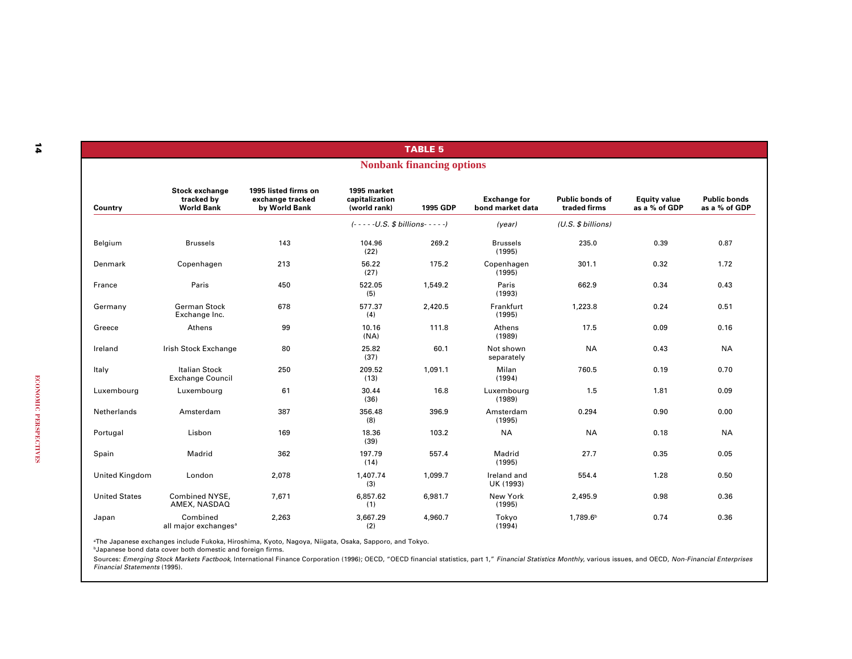|                       |                                                   |                                                           |                                               | <b>TABLE 5</b>                   |                                         |                                        |                                      |                                      |
|-----------------------|---------------------------------------------------|-----------------------------------------------------------|-----------------------------------------------|----------------------------------|-----------------------------------------|----------------------------------------|--------------------------------------|--------------------------------------|
|                       |                                                   |                                                           |                                               | <b>Nonbank financing options</b> |                                         |                                        |                                      |                                      |
| Country               | Stock exchange<br>tracked by<br><b>World Bank</b> | 1995 listed firms on<br>exchange tracked<br>by World Bank | 1995 market<br>capitalization<br>(world rank) | 1995 GDP                         | <b>Exchange for</b><br>bond market data | <b>Public bonds of</b><br>traded firms | <b>Equity value</b><br>as a % of GDP | <b>Public bonds</b><br>as a % of GDP |
|                       |                                                   |                                                           | $(- - - - U.S. $ billions - - - -)$           |                                  | (year)                                  | (U.S. \$ billions)                     |                                      |                                      |
| Belgium               | <b>Brussels</b>                                   | 143                                                       | 104.96<br>(22)                                | 269.2                            | <b>Brussels</b><br>(1995)               | 235.0                                  | 0.39                                 | 0.87                                 |
| Denmark               | Copenhagen                                        | 213                                                       | 56.22<br>(27)                                 | 175.2                            | Copenhagen<br>(1995)                    | 301.1                                  | 0.32                                 | 1.72                                 |
| France                | Paris                                             | 450                                                       | 522.05<br>(5)                                 | 1,549.2                          | Paris<br>(1993)                         | 662.9                                  | 0.34                                 | 0.43                                 |
| Germany               | <b>German Stock</b><br>Exchange Inc.              | 678                                                       | 577.37<br>(4)                                 | 2,420.5                          | Frankfurt<br>(1995)                     | 1,223.8                                | 0.24                                 | 0.51                                 |
| Greece                | Athens                                            | 99                                                        | 10.16<br>(NA)                                 | 111.8                            | Athens<br>(1989)                        | 17.5                                   | 0.09                                 | 0.16                                 |
| Ireland               | Irish Stock Exchange                              | 80                                                        | 25.82<br>(37)                                 | 60.1                             | Not shown<br>separately                 | <b>NA</b>                              | 0.43                                 | <b>NA</b>                            |
| Italy                 | <b>Italian Stock</b><br><b>Exchange Council</b>   | 250                                                       | 209.52<br>(13)                                | 1,091.1                          | Milan<br>(1994)                         | 760.5                                  | 0.19                                 | 0.70                                 |
| Luxembourg            | Luxembourg                                        | 61                                                        | 30.44<br>(36)                                 | 16.8                             | Luxembourg<br>(1989)                    | 1.5                                    | 1.81                                 | 0.09                                 |
| Netherlands           | Amsterdam                                         | 387                                                       | 356.48<br>(8)                                 | 396.9                            | Amsterdam<br>(1995)                     | 0.294                                  | 0.90                                 | 0.00                                 |
| Portugal              | Lisbon                                            | 169                                                       | 18.36<br>(39)                                 | 103.2                            | <b>NA</b>                               | <b>NA</b>                              | 0.18                                 | <b>NA</b>                            |
| Spain                 | Madrid                                            | 362                                                       | 197.79<br>(14)                                | 557.4                            | Madrid<br>(1995)                        | 27.7                                   | 0.35                                 | 0.05                                 |
| <b>United Kingdom</b> | London                                            | 2,078                                                     | 1,407.74<br>(3)                               | 1,099.7                          | Ireland and<br>UK (1993)                | 554.4                                  | 1.28                                 | 0.50                                 |
| <b>United States</b>  | Combined NYSE,<br>AMEX, NASDAQ                    | 7,671                                                     | 6,857.62<br>(1)                               | 6,981.7                          | New York<br>(1995)                      | 2,495.9                                | 0.98                                 | 0.36                                 |
| Japan                 | Combined<br>all major exchanges <sup>a</sup>      | 2,263                                                     | 3,667.29<br>(2)                               | 4,960.7                          | Tokyo<br>(1994)                         | 1,789.6 <sup>b</sup>                   | 0.74                                 | 0.36                                 |

aThe Japanese exchanges include Fukoka, Hiroshima, Kyoto, Nagoya, Niigata, Osaka, Sapporo, and Tokyo.

bJapanese bond data cover both domestic and foreign firms.

Sources: *Emerging Stock Markets Factbook,* International Finance Corporation (1996); OECD, "OECD financial statistics, part 1," *Financial Statistics Monthly,* various issues, and OECD, *Non-Financial Enterprises*<br>*Financ*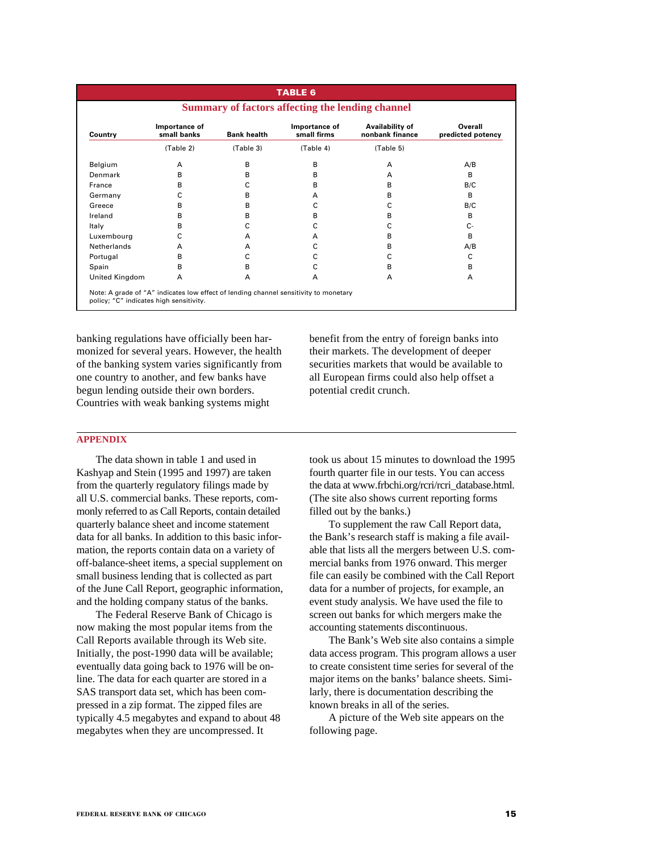| <b>TABLE 6</b><br>Summary of factors affecting the lending channel |                              |                    |                              |                                    |                              |  |
|--------------------------------------------------------------------|------------------------------|--------------------|------------------------------|------------------------------------|------------------------------|--|
| Country                                                            | Importance of<br>small banks | <b>Bank health</b> | Importance of<br>small firms | Availability of<br>nonbank finance | Overall<br>predicted potency |  |
|                                                                    | (Table 2)                    | (Table 3)          | (Table 4)                    | (Table 5)                          |                              |  |
| Belgium                                                            | A                            | в                  | в                            | A                                  | A/B                          |  |
| Denmark                                                            | в                            | в                  | в                            | $\overline{A}$                     | B                            |  |
| France                                                             | B                            | С                  | в                            | B                                  | B/C                          |  |
| Germany                                                            | C                            | в                  | A                            | B                                  | B                            |  |
| Greece                                                             | B                            | в                  | C                            | C                                  | B/C                          |  |
| Ireland                                                            | в                            | В                  | в                            | B                                  | B                            |  |
| Italy                                                              | в                            | C                  | C                            |                                    | $C -$                        |  |
| Luxembourg                                                         | C                            | A                  | A                            | B                                  | B                            |  |
| Netherlands                                                        | A                            | A                  | с                            | в                                  | A/B                          |  |
| Portugal                                                           | в                            | с                  | с                            | с                                  | C                            |  |
| Spain                                                              | В                            | в                  | с                            | в                                  | в                            |  |
| United Kingdom                                                     | A                            | A                  | A                            | A                                  | A                            |  |

banking regulations have officially been harmonized for several years. However, the health of the banking system varies significantly from one country to another, and few banks have begun lending outside their own borders. Countries with weak banking systems might

benefit from the entry of foreign banks into their markets. The development of deeper securities markets that would be available to all European firms could also help offset a potential credit crunch.

# **APPENDIX**

The data shown in table 1 and used in Kashyap and Stein (1995 and 1997) are taken from the quarterly regulatory filings made by all U.S. commercial banks. These reports, commonly referred to as Call Reports, contain detailed quarterly balance sheet and income statement data for all banks. In addition to this basic information, the reports contain data on a variety of off-balance-sheet items, a special supplement on small business lending that is collected as part of the June Call Report, geographic information, and the holding company status of the banks.

The Federal Reserve Bank of Chicago is now making the most popular items from the Call Reports available through its Web site. Initially, the post-1990 data will be available; eventually data going back to 1976 will be online. The data for each quarter are stored in a SAS transport data set, which has been compressed in a zip format. The zipped files are typically 4.5 megabytes and expand to about 48 megabytes when they are uncompressed. It

took us about 15 minutes to download the 1995 fourth quarter file in our tests. You can access the data at www.frbchi.org/rcri/rcri\_database.html. (The site also shows current reporting forms filled out by the banks.)

To supplement the raw Call Report data, the Bank's research staff is making a file available that lists all the mergers between U.S. commercial banks from 1976 onward. This merger file can easily be combined with the Call Report data for a number of projects, for example, an event study analysis. We have used the file to screen out banks for which mergers make the accounting statements discontinuous.

The Bank's Web site also contains a simple data access program. This program allows a user to create consistent time series for several of the major items on the banks' balance sheets. Similarly, there is documentation describing the known breaks in all of the series.

A picture of the Web site appears on the following page.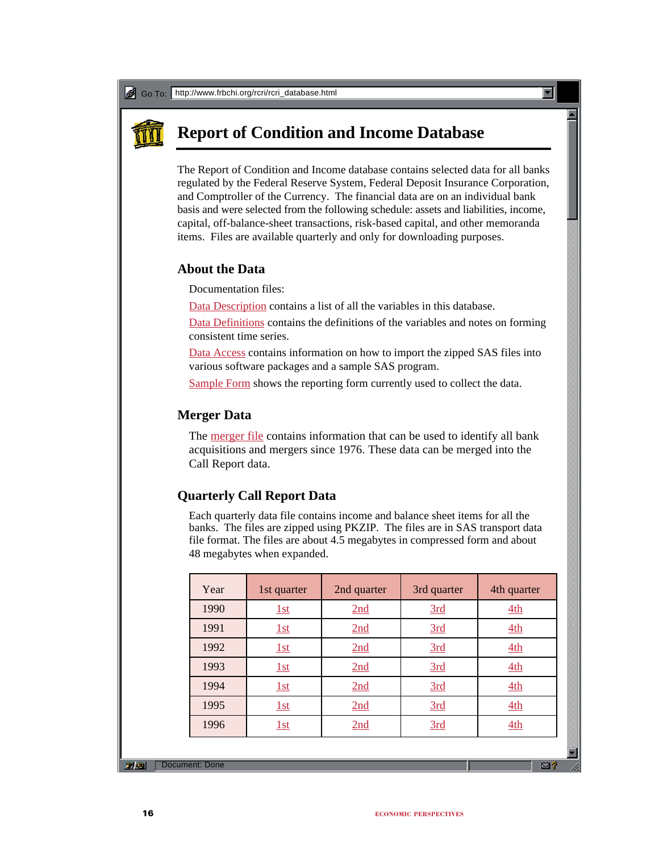# **Report of Condition and Income Database**

The Report of Condition and Income database contains selected data for all banks regulated by the Federal Reserve System, Federal Deposit Insurance Corporation, and Comptroller of the Currency. The financial data are on an individual bank basis and were selected from the following schedule: assets and liabilities, income, capital, off-balance-sheet transactions, risk-based capital, and other memoranda items. Files are available quarterly and only for downloading purposes.

# **About the Data**

Documentation files:

Data Description contains a list of all the variables in this database.

Data Definitions contains the definitions of the variables and notes on forming consistent time series.

Data Access contains information on how to import the zipped SAS files into various software packages and a sample SAS program.

Sample Form shows the reporting form currently used to collect the data.

# **Merger Data**

The <u>merger file</u> contains information that can be used to identify all bank acquisitions and mergers since 1976. These data can be merged into the Call Report data.

# **Quarterly Call Report Data**

Each quarterly data file contains income and balance sheet items for all the banks. The files are zipped using PKZIP. The files are in SAS transport data file format. The files are about 4.5 megabytes in compressed form and about 48 megabytes when expanded.

| Year | 1st quarter | 2nd quarter | 3rd quarter | 4th quarter |
|------|-------------|-------------|-------------|-------------|
| 1990 | 1st         | 2nd         | 3rd         | 4th         |
| 1991 | 1st         | 2nd         | 3rd         | 4th         |
| 1992 | 1st         | 2nd         | 3rd         | 4th         |
| 1993 | 1st         | 2nd         | 3rd         | 4th         |
| 1994 | 1st         | 2nd         | 3rd         | 4th         |
| 1995 | 1st         | 2nd         | 3rd         | 4th         |
| 1996 | 1st         | 2nd         | 3rd         | 4th         |
|      |             |             |             |             |

**Document**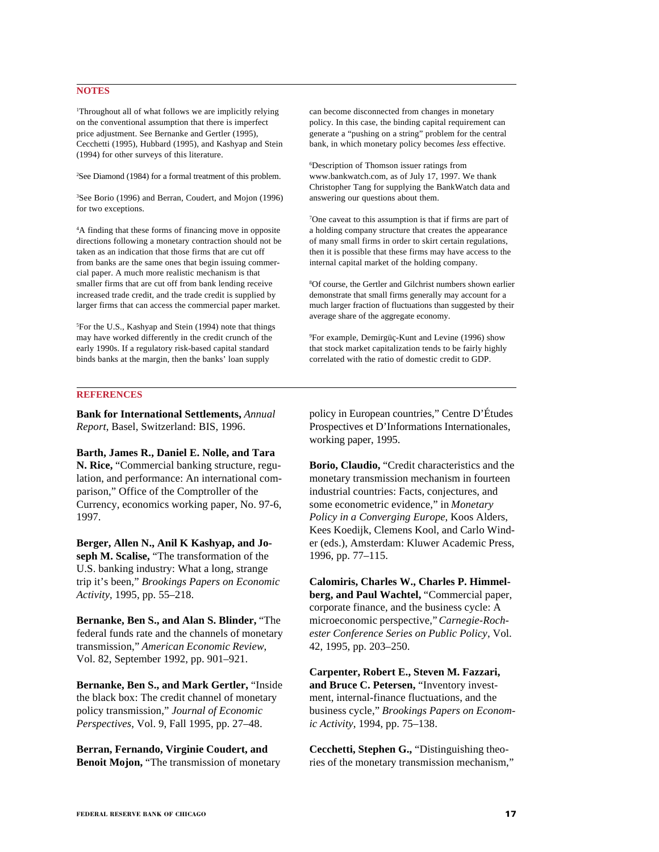# **NOTES**

1 Throughout all of what follows we are implicitly relying on the conventional assumption that there is imperfect price adjustment. See Bernanke and Gertler (1995), Cecchetti (1995), Hubbard (1995), and Kashyap and Stein (1994) for other surveys of this literature.

2 See Diamond (1984) for a formal treatment of this problem.

3 See Borio (1996) and Berran, Coudert, and Mojon (1996) for two exceptions.

4 A finding that these forms of financing move in opposite directions following a monetary contraction should not be taken as an indication that those firms that are cut off from banks are the same ones that begin issuing commercial paper. A much more realistic mechanism is that smaller firms that are cut off from bank lending receive increased trade credit, and the trade credit is supplied by larger firms that can access the commercial paper market.

5 For the U.S., Kashyap and Stein (1994) note that things may have worked differently in the credit crunch of the early 1990s. If a regulatory risk-based capital standard binds banks at the margin, then the banks' loan supply

can become disconnected from changes in monetary policy. In this case, the binding capital requirement can generate a "pushing on a string" problem for the central bank, in which monetary policy becomes *less* effective.

6 Description of Thomson issuer ratings from www.bankwatch.com, as of July 17, 1997. We thank Christopher Tang for supplying the BankWatch data and answering our questions about them.

7 One caveat to this assumption is that if firms are part of a holding company structure that creates the appearance of many small firms in order to skirt certain regulations, then it is possible that these firms may have access to the internal capital market of the holding company.

8 Of course, the Gertler and Gilchrist numbers shown earlier demonstrate that small firms generally may account for a much larger fraction of fluctuations than suggested by their average share of the aggregate economy.

9 For example, Demirgüç-Kunt and Levine (1996) show that stock market capitalization tends to be fairly highly correlated with the ratio of domestic credit to GDP.

# **REFERENCES**

**Bank for International Settlements,** *Annual Report*, Basel, Switzerland: BIS, 1996.

**Barth, James R., Daniel E. Nolle, and Tara N. Rice,** "Commercial banking structure, regulation, and performance: An international comparison," Office of the Comptroller of the Currency, economics working paper, No. 97-6, 1997.

**Berger, Allen N., Anil K Kashyap, and Joseph M. Scalise,** "The transformation of the U.S. banking industry: What a long, strange trip it's been," *Brookings Papers on Economic Activity*, 1995, pp. 55–218.

**Bernanke, Ben S., and Alan S. Blinder,** "The federal funds rate and the channels of monetary transmission," *American Economic Review*, Vol. 82, September 1992, pp. 901–921.

**Bernanke, Ben S., and Mark Gertler,** "Inside the black box: The credit channel of monetary policy transmission," *Journal of Economic Perspectives*, Vol. 9, Fall 1995, pp. 27–48.

**Berran, Fernando, Virginie Coudert, and Benoit Mojon,** "The transmission of monetary policy in European countries," Centre D'Études Prospectives et D'Informations Internationales, working paper, 1995.

**Borio, Claudio,** "Credit characteristics and the monetary transmission mechanism in fourteen industrial countries: Facts, conjectures, and some econometric evidence," in *Monetary Policy in a Converging Europe*, Koos Alders, Kees Koedijk, Clemens Kool, and Carlo Winder (eds.), Amsterdam: Kluwer Academic Press, 1996, pp. 77–115.

**Calomiris, Charles W., Charles P. Himmelberg, and Paul Wachtel,** "Commercial paper, corporate finance, and the business cycle: A microeconomic perspective," *Carnegie-Rochester Conference Series on Public Policy*, Vol. 42, 1995, pp. 203–250.

**Carpenter, Robert E., Steven M. Fazzari, and Bruce C. Petersen,** "Inventory investment, internal-finance fluctuations, and the business cycle," *Brookings Papers on Economic Activity*, 1994, pp. 75–138.

**Cecchetti, Stephen G.,** "Distinguishing theories of the monetary transmission mechanism,"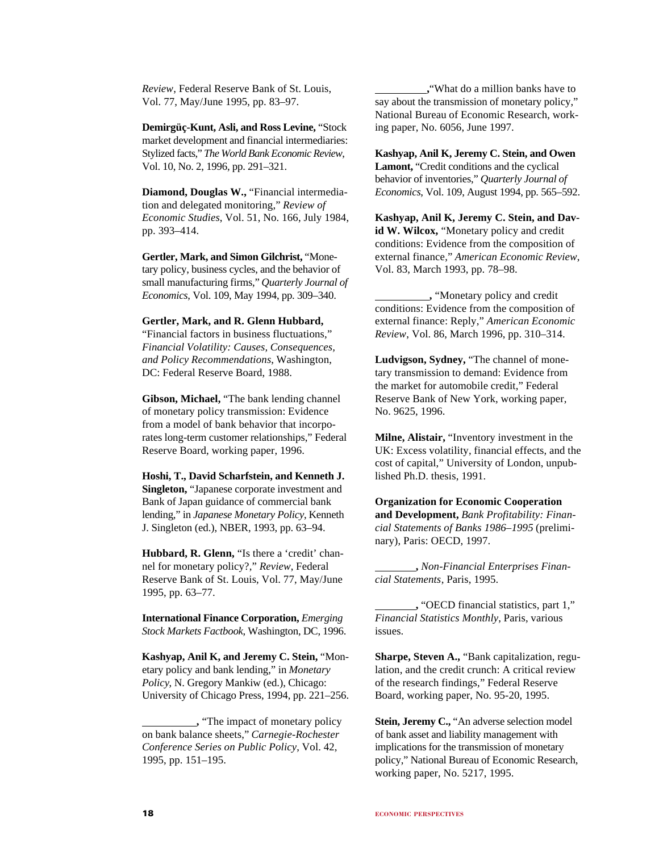*Review*, Federal Reserve Bank of St. Louis, Vol. 77, May/June 1995, pp. 83–97.

**Demirgüç-Kunt, Asli, and Ross Levine,** "Stock market development and financial intermediaries: Stylized facts," *The World Bank Economic Review*, Vol. 10, No. 2, 1996, pp. 291–321.

**Diamond, Douglas W.,** "Financial intermediation and delegated monitoring," *Review of Economic Studies*, Vol. 51, No. 166, July 1984, pp. 393–414.

**Gertler, Mark, and Simon Gilchrist,** "Monetary policy, business cycles, and the behavior of small manufacturing firms," *Quarterly Journal of Economics*, Vol. 109, May 1994, pp. 309–340.

# **Gertler, Mark, and R. Glenn Hubbard,**

"Financial factors in business fluctuations," *Financial Volatility: Causes, Consequences, and Policy Recommendations*, Washington, DC: Federal Reserve Board, 1988.

**Gibson, Michael,** "The bank lending channel of monetary policy transmission: Evidence from a model of bank behavior that incorporates long-term customer relationships," Federal Reserve Board, working paper, 1996.

**Hoshi, T., David Scharfstein, and Kenneth J. Singleton,** "Japanese corporate investment and Bank of Japan guidance of commercial bank lending," in *Japanese Monetary Policy*, Kenneth J. Singleton (ed.), NBER, 1993, pp. 63–94.

**Hubbard, R. Glenn,** "Is there a 'credit' channel for monetary policy?," *Review*, Federal Reserve Bank of St. Louis, Vol. 77, May/June 1995, pp. 63–77.

**International Finance Corporation,** *Emerging Stock Markets Factbook*, Washington, DC, 1996.

**Kashyap, Anil K, and Jeremy C. Stein,** "Monetary policy and bank lending," in *Monetary Policy*, N. Gregory Mankiw (ed.), Chicago: University of Chicago Press, 1994, pp. 221–256.

 **,**"What do a million banks have to say about the transmission of monetary policy," National Bureau of Economic Research, working paper, No. 6056, June 1997.

**Kashyap, Anil K, Jeremy C. Stein, and Owen Lamont,** "Credit conditions and the cyclical behavior of inventories," *Quarterly Journal of Economics*, Vol. 109, August 1994, pp. 565–592.

**Kashyap, Anil K, Jeremy C. Stein, and David W. Wilcox,** "Monetary policy and credit conditions: Evidence from the composition of external finance," *American Economic Review*, Vol. 83, March 1993, pp. 78–98.

 **,** "Monetary policy and credit conditions: Evidence from the composition of external finance: Reply," *American Economic Review*, Vol. 86, March 1996, pp. 310–314.

**Ludvigson, Sydney,** "The channel of monetary transmission to demand: Evidence from the market for automobile credit," Federal Reserve Bank of New York, working paper, No. 9625, 1996.

**Milne, Alistair,** "Inventory investment in the UK: Excess volatility, financial effects, and the cost of capital," University of London, unpublished Ph.D. thesis, 1991.

**Organization for Economic Cooperation and Development,** *Bank Profitability: Financial Statements of Banks 1986–1995* (preliminary), Paris: OECD, 1997.

 **,** *Non-Financial Enterprises Financial Statements*, Paris, 1995.

 **,** "OECD financial statistics, part 1," *Financial Statistics Monthly*, Paris, various issues.

**Sharpe, Steven A.,** "Bank capitalization, regulation, and the credit crunch: A critical review of the research findings," Federal Reserve Board, working paper, No. 95-20, 1995.

**Stein, Jeremy C.,** "An adverse selection model of bank asset and liability management with implications for the transmission of monetary policy," National Bureau of Economic Research, working paper, No. 5217, 1995.

 **<sup>,</sup>** "The impact of monetary policy on bank balance sheets," *Carnegie-Rochester Conference Series on Public Policy*, Vol. 42, 1995, pp. 151–195.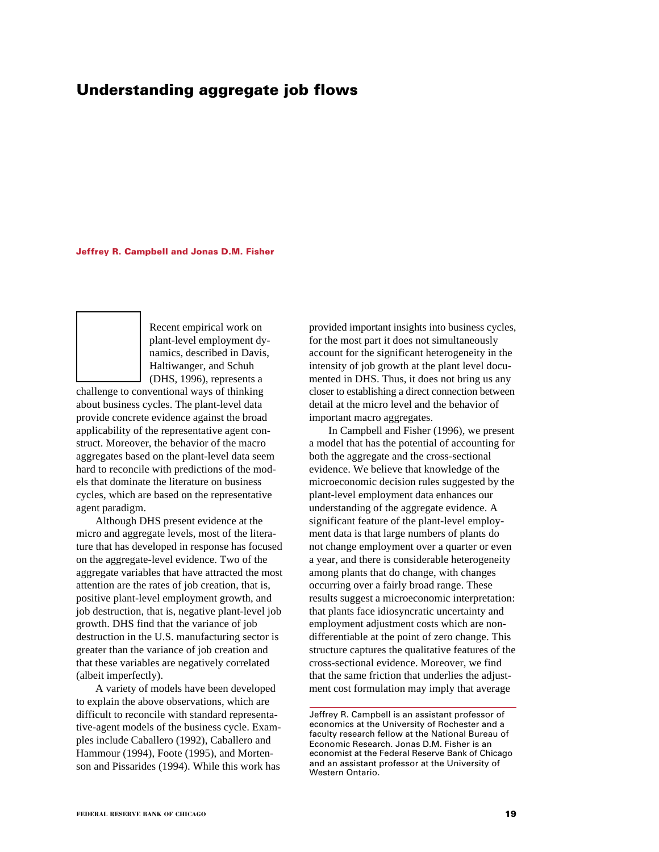# **Understanding aggregate job flows**

#### **Jeffrey R. Campbell and Jonas D.M. Fisher**

Recent empirical work on plant-level employment dynamics, described in Davis, Haltiwanger, and Schuh (DHS, 1996), represents a

challenge to conventional ways of thinking about business cycles. The plant-level data provide concrete evidence against the broad applicability of the representative agent construct. Moreover, the behavior of the macro aggregates based on the plant-level data seem hard to reconcile with predictions of the models that dominate the literature on business cycles, which are based on the representative agent paradigm.

Although DHS present evidence at the micro and aggregate levels, most of the literature that has developed in response has focused on the aggregate-level evidence. Two of the aggregate variables that have attracted the most attention are the rates of job creation, that is, positive plant-level employment growth, and job destruction, that is, negative plant-level job growth. DHS find that the variance of job destruction in the U.S. manufacturing sector is greater than the variance of job creation and that these variables are negatively correlated (albeit imperfectly).

A variety of models have been developed to explain the above observations, which are difficult to reconcile with standard representative-agent models of the business cycle. Examples include Caballero (1992), Caballero and Hammour (1994), Foote (1995), and Mortenson and Pissarides (1994). While this work has provided important insights into business cycles, for the most part it does not simultaneously account for the significant heterogeneity in the intensity of job growth at the plant level documented in DHS. Thus, it does not bring us any closer to establishing a direct connection between detail at the micro level and the behavior of important macro aggregates.

In Campbell and Fisher (1996), we present a model that has the potential of accounting for both the aggregate and the cross-sectional evidence. We believe that knowledge of the microeconomic decision rules suggested by the plant-level employment data enhances our understanding of the aggregate evidence. A significant feature of the plant-level employment data is that large numbers of plants do not change employment over a quarter or even a year, and there is considerable heterogeneity among plants that do change, with changes occurring over a fairly broad range. These results suggest a microeconomic interpretation: that plants face idiosyncratic uncertainty and employment adjustment costs which are nondifferentiable at the point of zero change. This structure captures the qualitative features of the cross-sectional evidence. Moreover, we find that the same friction that underlies the adjustment cost formulation may imply that average

Jeffrey R. Campbell is an assistant professor of economics at the University of Rochester and a faculty research fellow at the National Bureau of Economic Research. Jonas D.M. Fisher is an economist at the Federal Reserve Bank of Chicago and an assistant professor at the University of Western Ontario.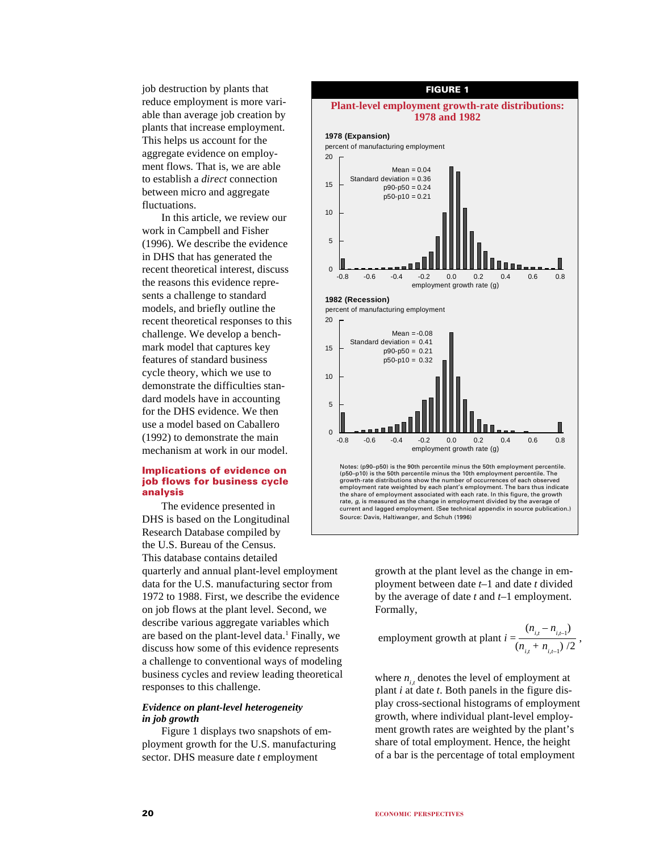job destruction by plants that reduce employment is more variable than average job creation by plants that increase employment. This helps us account for the aggregate evidence on employment flows. That is, we are able to establish a *direct* connection between micro and aggregate fluctuations.

In this article, we review our work in Campbell and Fisher (1996). We describe the evidence in DHS that has generated the recent theoretical interest, discuss the reasons this evidence represents a challenge to standard models, and briefly outline the recent theoretical responses to this challenge. We develop a benchmark model that captures key features of standard business cycle theory, which we use to demonstrate the difficulties standard models have in accounting for the DHS evidence. We then use a model based on Caballero (1992) to demonstrate the main mechanism at work in our model.

# **Implications of evidence on job flows for business cycle analysis**

The evidence presented in DHS is based on the Longitudinal Research Database compiled by the U.S. Bureau of the Census. This database contains detailed quarterly and annual plant-level employment data for the U.S. manufacturing sector from 1972 to 1988. First, we describe the evidence on job flows at the plant level. Second, we describe various aggregate variables which are based on the plant-level data.<sup>1</sup> Finally, we discuss how some of this evidence represents a challenge to conventional ways of modeling business cycles and review leading theoretical responses to this challenge.

# *Evidence on plant-level heterogeneity in job growth*

Figure 1 displays two snapshots of employment growth for the U.S. manufacturing sector. DHS measure date *t* employment



growth at the plant level as the change in employment between date *t*–1 and date *t* divided by the average of date *t* and *t*–1 employment. Formally,

emplyment growth at plant 
$$
i = \frac{(n_{i,t} - n_{i,t-1})}{(n_{i,t} + n_{i,t-1})/2}
$$
,

where  $n_i$ , denotes the level of employment at plant *i* at date *t*. Both panels in the figure display cross-sectional histograms of employment growth, where individual plant-level employment growth rates are weighted by the plant's share of total employment. Hence, the height of a bar is the percentage of total employment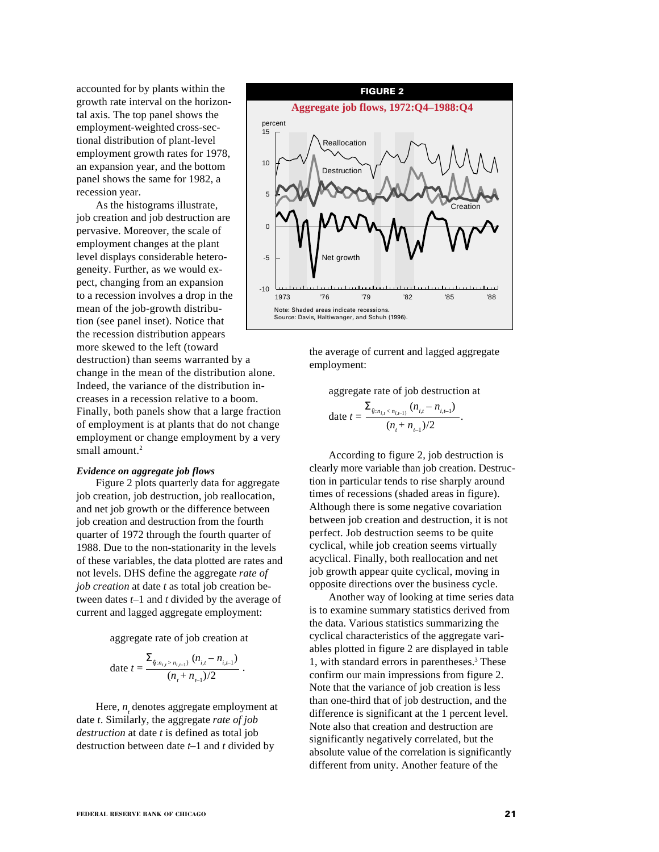accounted for by plants within the growth rate interval on the horizontal axis. The top panel shows the employment-weighted cross-sectional distribution of plant-level employment growth rates for 1978, an expansion year, and the bottom panel shows the same for 1982, a recession year.

As the histograms illustrate, job creation and job destruction are pervasive. Moreover, the scale of employment changes at the plant level displays considerable heterogeneity. Further, as we would expect, changing from an expansion to a recession involves a drop in the mean of the job-growth distribution (see panel inset). Notice that the recession distribution appears more skewed to the left (toward destruction) than seems warranted by a change in the mean of the distribution alone. Indeed, the variance of the distribution increases in a recession relative to a boom. Finally, both panels show that a large fraction of employment is at plants that do not change employment or change employment by a very small amount.<sup>2</sup>

#### *Evidence on aggregate job flows*

Figure 2 plots quarterly data for aggregate job creation, job destruction, job reallocation, and net job growth or the difference between job creation and destruction from the fourth quarter of 1972 through the fourth quarter of 1988. Due to the non-stationarity in the levels of these variables, the data plotted are rates and not levels. DHS define the aggregate *rate of job creation* at date *t* as total job creation between dates *t*–1 and *t* divided by the average of current and lagged aggregate employment:

aggregate rate of job creation at

date 
$$
t = \frac{\sum_{\{i:n_{i,t} > n_{i,t-1}\}} (n_{i,t} - n_{i,t-1})}{(n_t + n_{t-1})/2}
$$

.

Here,  $n_{\tau}$  denotes aggregate employment at date *t*. Similarly, the aggregate *rate of job destruction* at date *t* is defined as total job destruction between date *t*–1 and *t* divided by



the average of current and lagged aggregate employment:

aggregate rate of job destruction at

date 
$$
t = \frac{\sum_{\{i:n_{i,t} < n_{i,t-1}\}} (n_{i,t} - n_{i,t-1})}{(n_t + n_{t-1})/2}
$$
.

According to figure 2, job destruction is clearly more variable than job creation. Destruction in particular tends to rise sharply around times of recessions (shaded areas in figure). Although there is some negative covariation between job creation and destruction, it is not perfect. Job destruction seems to be quite cyclical, while job creation seems virtually acyclical. Finally, both reallocation and net job growth appear quite cyclical, moving in opposite directions over the business cycle.

Another way of looking at time series data is to examine summary statistics derived from the data. Various statistics summarizing the cyclical characteristics of the aggregate variables plotted in figure 2 are displayed in table 1, with standard errors in parentheses.3 These confirm our main impressions from figure 2. Note that the variance of job creation is less than one-third that of job destruction, and the difference is significant at the 1 percent level. Note also that creation and destruction are significantly negatively correlated, but the absolute value of the correlation is significantly different from unity. Another feature of the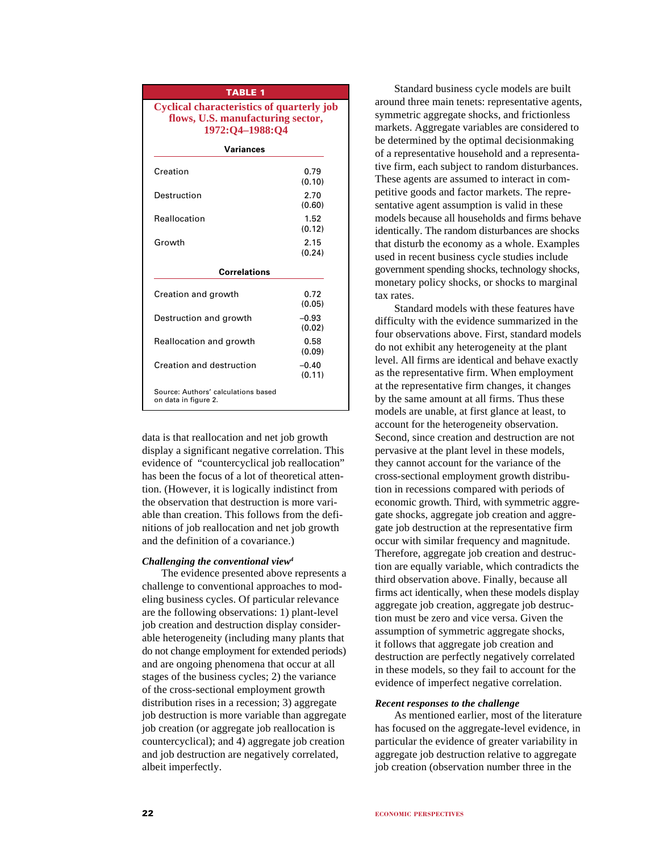| <b>TABLE 1</b>                                                                                           |                   |  |  |  |  |  |  |
|----------------------------------------------------------------------------------------------------------|-------------------|--|--|--|--|--|--|
| <b>Cyclical characteristics of quarterly job</b><br>flows, U.S. manufacturing sector,<br>1972:Q4-1988:Q4 |                   |  |  |  |  |  |  |
| Variances                                                                                                |                   |  |  |  |  |  |  |
| Creation                                                                                                 | 0.79<br>(0.10)    |  |  |  |  |  |  |
| Destruction                                                                                              | 2.70<br>(0.60)    |  |  |  |  |  |  |
| Reallocation                                                                                             | 1.52<br>(0.12)    |  |  |  |  |  |  |
| Growth                                                                                                   | 2.15<br>(0.24)    |  |  |  |  |  |  |
| <b>Correlations</b>                                                                                      |                   |  |  |  |  |  |  |
| Creation and growth                                                                                      | 0.72<br>(0.05)    |  |  |  |  |  |  |
| Destruction and growth                                                                                   | $-0.93$<br>(0.02) |  |  |  |  |  |  |
| Reallocation and growth                                                                                  | 0.58<br>(0.09)    |  |  |  |  |  |  |
| Creation and destruction                                                                                 | $-0.40$<br>(0.11) |  |  |  |  |  |  |
| Source: Authors' calculations based<br>on data in figure 2.                                              |                   |  |  |  |  |  |  |

data is that reallocation and net job growth display a significant negative correlation. This evidence of "countercyclical job reallocation" has been the focus of a lot of theoretical attention. (However, it is logically indistinct from the observation that destruction is more variable than creation. This follows from the definitions of job reallocation and net job growth and the definition of a covariance.)

# *Challenging the conventional view4*

The evidence presented above represents a challenge to conventional approaches to modeling business cycles. Of particular relevance are the following observations: 1) plant-level job creation and destruction display considerable heterogeneity (including many plants that do not change employment for extended periods) and are ongoing phenomena that occur at all stages of the business cycles; 2) the variance of the cross-sectional employment growth distribution rises in a recession; 3) aggregate job destruction is more variable than aggregate job creation (or aggregate job reallocation is countercyclical); and 4) aggregate job creation and job destruction are negatively correlated, albeit imperfectly.

Standard business cycle models are built around three main tenets: representative agents, symmetric aggregate shocks, and frictionless markets. Aggregate variables are considered to be determined by the optimal decisionmaking of a representative household and a representative firm, each subject to random disturbances. These agents are assumed to interact in competitive goods and factor markets. The representative agent assumption is valid in these models because all households and firms behave identically. The random disturbances are shocks that disturb the economy as a whole. Examples used in recent business cycle studies include government spending shocks, technology shocks, monetary policy shocks, or shocks to marginal tax rates.

Standard models with these features have difficulty with the evidence summarized in the four observations above. First, standard models do not exhibit any heterogeneity at the plant level. All firms are identical and behave exactly as the representative firm. When employment at the representative firm changes, it changes by the same amount at all firms. Thus these models are unable, at first glance at least, to account for the heterogeneity observation. Second, since creation and destruction are not pervasive at the plant level in these models, they cannot account for the variance of the cross-sectional employment growth distribution in recessions compared with periods of economic growth. Third, with symmetric aggregate shocks, aggregate job creation and aggregate job destruction at the representative firm occur with similar frequency and magnitude. Therefore, aggregate job creation and destruction are equally variable, which contradicts the third observation above. Finally, because all firms act identically, when these models display aggregate job creation, aggregate job destruction must be zero and vice versa. Given the assumption of symmetric aggregate shocks, it follows that aggregate job creation and destruction are perfectly negatively correlated in these models, so they fail to account for the evidence of imperfect negative correlation.

# *Recent responses to the challenge*

As mentioned earlier, most of the literature has focused on the aggregate-level evidence, in particular the evidence of greater variability in aggregate job destruction relative to aggregate job creation (observation number three in the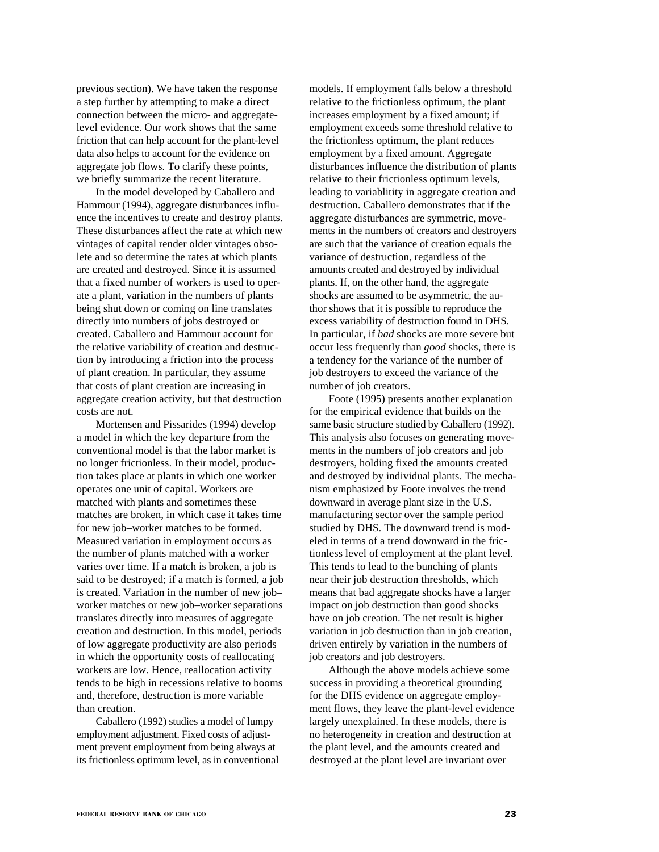previous section). We have taken the response a step further by attempting to make a direct connection between the micro- and aggregatelevel evidence. Our work shows that the same friction that can help account for the plant-level data also helps to account for the evidence on aggregate job flows. To clarify these points, we briefly summarize the recent literature.

In the model developed by Caballero and Hammour (1994), aggregate disturbances influence the incentives to create and destroy plants. These disturbances affect the rate at which new vintages of capital render older vintages obsolete and so determine the rates at which plants are created and destroyed. Since it is assumed that a fixed number of workers is used to operate a plant, variation in the numbers of plants being shut down or coming on line translates directly into numbers of jobs destroyed or created. Caballero and Hammour account for the relative variability of creation and destruction by introducing a friction into the process of plant creation. In particular, they assume that costs of plant creation are increasing in aggregate creation activity, but that destruction costs are not.

Mortensen and Pissarides (1994) develop a model in which the key departure from the conventional model is that the labor market is no longer frictionless. In their model, production takes place at plants in which one worker operates one unit of capital. Workers are matched with plants and sometimes these matches are broken, in which case it takes time for new job–worker matches to be formed. Measured variation in employment occurs as the number of plants matched with a worker varies over time. If a match is broken, a job is said to be destroyed; if a match is formed, a job is created. Variation in the number of new job– worker matches or new job–worker separations translates directly into measures of aggregate creation and destruction. In this model, periods of low aggregate productivity are also periods in which the opportunity costs of reallocating workers are low. Hence, reallocation activity tends to be high in recessions relative to booms and, therefore, destruction is more variable than creation.

Caballero (1992) studies a model of lumpy employment adjustment. Fixed costs of adjustment prevent employment from being always at its frictionless optimum level, as in conventional

models. If employment falls below a threshold relative to the frictionless optimum, the plant increases employment by a fixed amount; if employment exceeds some threshold relative to the frictionless optimum, the plant reduces employment by a fixed amount. Aggregate disturbances influence the distribution of plants relative to their frictionless optimum levels, leading to variablitity in aggregate creation and destruction. Caballero demonstrates that if the aggregate disturbances are symmetric, movements in the numbers of creators and destroyers are such that the variance of creation equals the variance of destruction, regardless of the amounts created and destroyed by individual plants. If, on the other hand, the aggregate shocks are assumed to be asymmetric, the author shows that it is possible to reproduce the excess variability of destruction found in DHS. In particular, if *bad* shocks are more severe but occur less frequently than *good* shocks, there is a tendency for the variance of the number of job destroyers to exceed the variance of the number of job creators.

Foote (1995) presents another explanation for the empirical evidence that builds on the same basic structure studied by Caballero (1992). This analysis also focuses on generating movements in the numbers of job creators and job destroyers, holding fixed the amounts created and destroyed by individual plants. The mechanism emphasized by Foote involves the trend downward in average plant size in the U.S. manufacturing sector over the sample period studied by DHS. The downward trend is modeled in terms of a trend downward in the frictionless level of employment at the plant level. This tends to lead to the bunching of plants near their job destruction thresholds, which means that bad aggregate shocks have a larger impact on job destruction than good shocks have on job creation. The net result is higher variation in job destruction than in job creation, driven entirely by variation in the numbers of job creators and job destroyers.

Although the above models achieve some success in providing a theoretical grounding for the DHS evidence on aggregate employment flows, they leave the plant-level evidence largely unexplained. In these models, there is no heterogeneity in creation and destruction at the plant level, and the amounts created and destroyed at the plant level are invariant over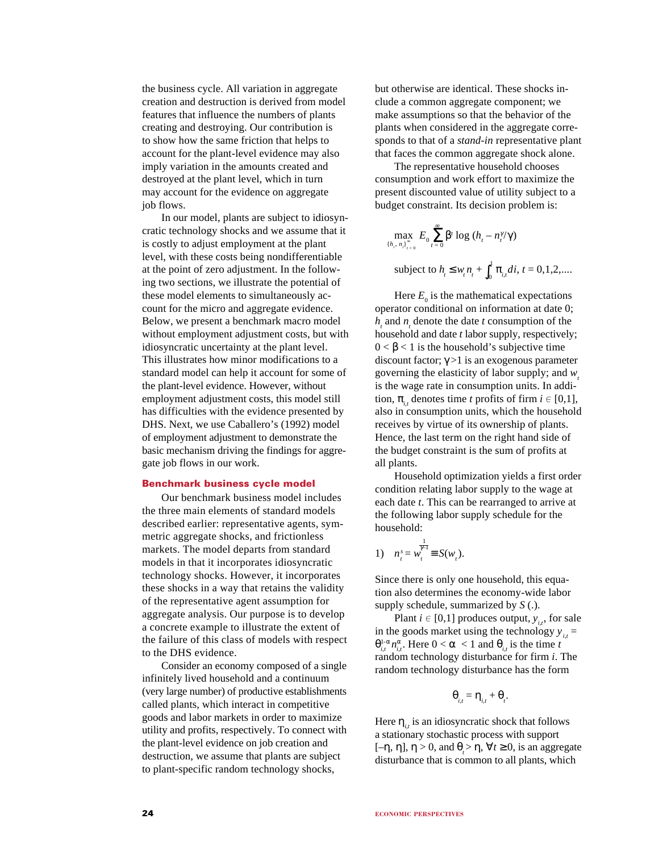the business cycle. All variation in aggregate creation and destruction is derived from model features that influence the numbers of plants creating and destroying. Our contribution is to show how the same friction that helps to account for the plant-level evidence may also imply variation in the amounts created and destroyed at the plant level, which in turn may account for the evidence on aggregate job flows.

In our model, plants are subject to idiosyncratic technology shocks and we assume that it is costly to adjust employment at the plant level, with these costs being nondifferentiable at the point of zero adjustment. In the following two sections, we illustrate the potential of these model elements to simultaneously account for the micro and aggregate evidence. Below, we present a benchmark macro model without employment adjustment costs, but with idiosyncratic uncertainty at the plant level. This illustrates how minor modifications to a standard model can help it account for some of the plant-level evidence. However, without employment adjustment costs, this model still has difficulties with the evidence presented by DHS. Next, we use Caballero's (1992) model of employment adjustment to demonstrate the basic mechanism driving the findings for aggregate job flows in our work.

### **Benchmark business cycle model**

Our benchmark business model includes the three main elements of standard models described earlier: representative agents, symmetric aggregate shocks, and frictionless markets. The model departs from standard models in that it incorporates idiosyncratic technology shocks. However, it incorporates these shocks in a way that retains the validity of the representative agent assumption for aggregate analysis. Our purpose is to develop a concrete example to illustrate the extent of the failure of this class of models with respect to the DHS evidence.

Consider an economy composed of a single infinitely lived household and a continuum (very large number) of productive establishments called plants, which interact in competitive goods and labor markets in order to maximize utility and profits, respectively. To connect with the plant-level evidence on job creation and destruction, we assume that plants are subject to plant-specific random technology shocks,

but otherwise are identical. These shocks include a common aggregate component; we make assumptions so that the behavior of the plants when considered in the aggregate corresponds to that of a *stand-in* representative plant that faces the common aggregate shock alone.

The representative household chooses consumption and work effort to maximize the present discounted value of utility subject to a budget constraint. Its decision problem is:

$$
\max_{\{h_i, n_i\}_{i=0}^{\infty}} E_0 \sum_{t=0}^{\infty} \beta^t \log (h_t - n_i^{\gamma/\gamma})
$$
  
subject to  $h_t \le w_t n_t + \int_0^1 \pi_{i,t} dt, t = 0, 1, 2,...$ 

Here  $E_0$  is the mathematical expectations operator conditional on information at date 0;  $h<sub>t</sub>$  and  $n<sub>t</sub>$  denote the date  $t$  consumption of the household and date *t* labor supply, respectively;  $0 < \beta < 1$  is the household's subjective time discount factor;  $\gamma > 1$  is an exogenous parameter governing the elasticity of labor supply; and *w*. is the wage rate in consumption units. In addition,  $\pi_i$ , denotes time *t* profits of firm  $i \in [0,1]$ , also in consumption units, which the household receives by virtue of its ownership of plants. Hence, the last term on the right hand side of the budget constraint is the sum of profits at all plants.

Household optimization yields a first order condition relating labor supply to the wage at each date *t*. This can be rearranged to arrive at the following labor supply schedule for the household:

1) 
$$
n_t^s = w_t^{\frac{1}{\gamma-1}} \equiv S(w_t).
$$

Since there is only one household, this equation also determines the economy-wide labor supply schedule, summarized by *S* (.).

Plant  $i \in [0,1]$  produces output,  $y_{i,t}$ , for sale in the goods market using the technology  $y_{i,t}$  =  $\theta_{i,t}^{1-\alpha} n_{i,t}^{\alpha}$ . Here  $0 < \alpha < 1$  and  $\theta_{i,t}$  is the time *t* random technology disturbance for firm *i*. The random technology disturbance has the form

$$
\boldsymbol{\theta}_{i,t} = \boldsymbol{\eta}_{i,t} + \boldsymbol{\theta}_{t}
$$

.

Here  $\eta_{i,t}$  is an idiosyncratic shock that follows a stationary stochastic process with support [–η, η],  $\eta > 0$ , and  $\theta_t > \eta$ ,  $\forall t \ge 0$ , is an aggregate disturbance that is common to all plants, which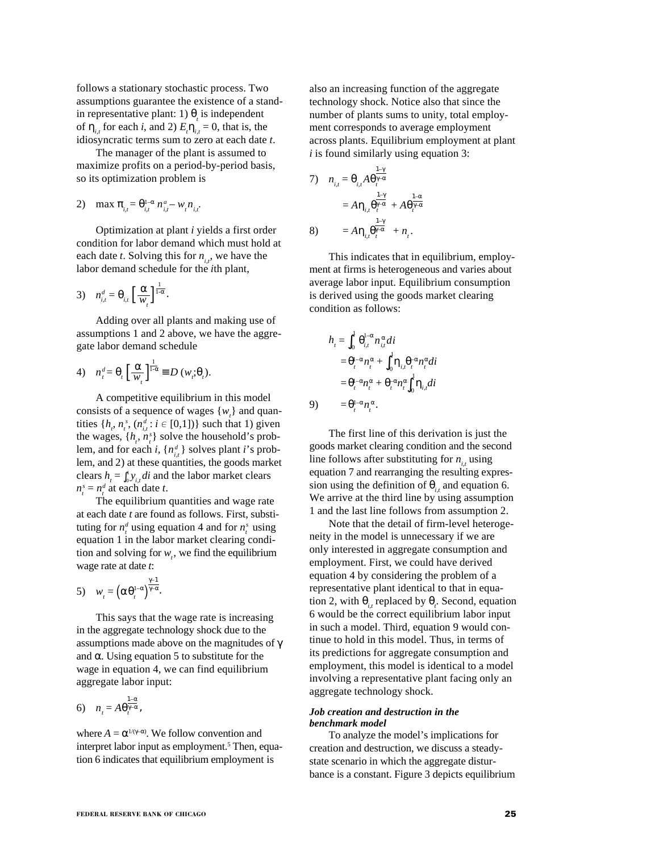follows a stationary stochastic process. Two assumptions guarantee the existence of a standin representative plant: 1)  $\theta_i$  is independent of  $\eta_{i,t}$  for each *i*, and 2)  $E_t \eta_{i,t} = 0$ , that is, the idiosyncratic terms sum to zero at each date *t*.

The manager of the plant is assumed to maximize profits on a period-by-period basis, so its optimization problem is

2) max  $\pi_{i,t} = \theta_{i,t}^{1-\alpha} n_{i,t}^a - w_t n_{i,t}^a$ .

Optimization at plant *i* yields a first order condition for labor demand which must hold at each date *t*. Solving this for  $n_{i,t}$ , we have the labor demand schedule for the *i*th plant,

$$
3) \quad n_{i,t}^d = \theta_{i,t} \left[ \frac{\alpha}{w_i} \right]^{1 \over 1 - \alpha}.
$$

Adding over all plants and making use of assumptions 1 and 2 above, we have the aggregate labor demand schedule

4) 
$$
n_t^d = \theta_t \left[ \frac{\alpha}{w_t} \right]_{1-\alpha}^{\frac{1}{1-\alpha}} \equiv D(w_t; \theta_t).
$$

A competitive equilibrium in this model consists of a sequence of wages  $\{w_i\}$  and quantities  $\{h_i, n_i^s, (n_{i,t}^d : i \in [0,1])\}$  such that 1) given the wages,  $\{h_i, n_i^s\}$  solve the household's problem, and for each *i*,  $\{n_{i,t}^d\}$  solves plant *i*'s problem, and 2) at these quantities, the goods market clears  $h_{i} = \int_{0}^{1} y_{i,t} dt$  and the labor market clears  $n_t^s = n_t^d$  at each date *t*.

The equilibrium quantities and wage rate at each date *t* are found as follows. First, substituting for  $n_t^d$  using equation 4 and for  $n_t^s$  using equation 1 in the labor market clearing condition and solving for  $w_t$ , we find the equilibrium wage rate at date *t*:

$$
5) \t w_t = \left(\alpha \theta_t^{1-\alpha}\right)^{\frac{\gamma-1}{\gamma-\alpha}}.
$$

This says that the wage rate is increasing in the aggregate technology shock due to the assumptions made above on the magnitudes of γ and  $\alpha$ . Using equation 5 to substitute for the wage in equation 4, we can find equilibrium aggregate labor input:

$$
6) \quad n_{t} = A\theta_{t}^{\frac{1-\alpha}{\gamma-\alpha}},
$$

where  $A = \alpha^{1/(\gamma - \alpha)}$ . We follow convention and interpret labor input as employment.<sup>5</sup> Then, equation 6 indicates that equilibrium employment is

also an increasing function of the aggregate technology shock. Notice also that since the number of plants sums to unity, total employment corresponds to average employment across plants. Equilibrium employment at plant *i* is found similarly using equation 3:

7) 
$$
n_{i,t} = \theta_{i,t} A \theta_{i}^{\frac{1-\gamma}{\gamma-\alpha}} = A \eta_{i,t} \theta_{i}^{\frac{1-\gamma}{\gamma-\alpha}} + A \theta_{i}^{\frac{1-\alpha}{\gamma-\alpha}} 8)
$$
 
$$
= A \eta_{i,t} \theta_{i}^{\frac{1-\gamma}{\gamma-\alpha}} + n_{i}.
$$

This indicates that in equilibrium, employment at firms is heterogeneous and varies about average labor input. Equilibrium consumption is derived using the goods market clearing condition as follows:

$$
h_{t} = \int_{0}^{1} \theta_{i,t}^{1-\alpha} n_{i,t}^{\alpha} di
$$
  
\n
$$
= \theta_{i}^{1-\alpha} n_{i}^{\alpha} + \int_{0}^{1} \eta_{i,t} \theta_{i}^{-\alpha} n_{i}^{\alpha} di
$$
  
\n
$$
= \theta_{i}^{1-\alpha} n_{i}^{\alpha} + \theta_{i}^{-\alpha} n_{i}^{\alpha} \int_{0}^{1} \eta_{i,t} di
$$
  
\n
$$
= \theta_{i}^{1-\alpha} n_{i}^{\alpha}.
$$

9)

The first line of this derivation is just the goods market clearing condition and the second line follows after substituting for  $n_i$ , using equation 7 and rearranging the resulting expression using the definition of  $\theta_i$ , and equation 6. We arrive at the third line by using assumption 1 and the last line follows from assumption 2.

Note that the detail of firm-level heterogeneity in the model is unnecessary if we are only interested in aggregate consumption and employment. First, we could have derived equation 4 by considering the problem of a representative plant identical to that in equation 2, with  $\theta_{i,t}$  replaced by  $\theta_i$ . Second, equation 6 would be the correct equilibrium labor input in such a model. Third, equation 9 would continue to hold in this model. Thus, in terms of its predictions for aggregate consumption and employment, this model is identical to a model involving a representative plant facing only an aggregate technology shock.

# *Job creation and destruction in the benchmark model*

To analyze the model's implications for creation and destruction, we discuss a steadystate scenario in which the aggregate disturbance is a constant. Figure 3 depicts equilibrium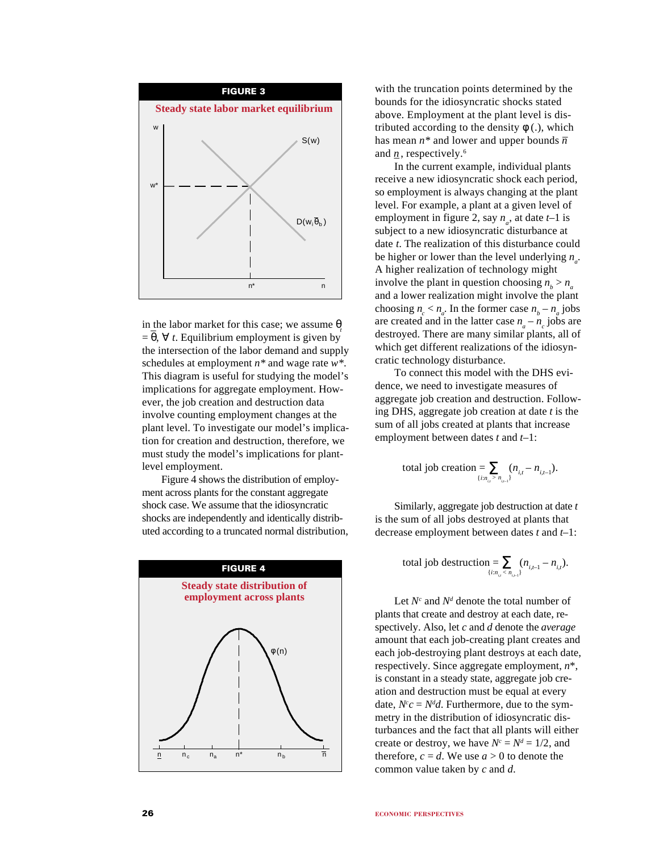

in the labor market for this case; we assume  $\theta$ <sub>t</sub>  $= \theta$ ,  $\forall$  *t*. Equilibrium employment is given by the intersection of the labor demand and supply schedules at employment *n\** and wage rate *w\**. This diagram is useful for studying the model's implications for aggregate employment. However, the job creation and destruction data involve counting employment changes at the plant level. To investigate our model's implication for creation and destruction, therefore, we must study the model's implications for plantlevel employment.

Figure 4 shows the distribution of employment across plants for the constant aggregate shock case. We assume that the idiosyncratic shocks are independently and identically distributed according to a truncated normal distribution,



with the truncation points determined by the bounds for the idiosyncratic shocks stated above. Employment at the plant level is distributed according to the density  $\phi$  (.), which has mean  $n^*$  and lower and upper bounds  $\overline{n}$ and  $\underline{n}$ , respectively.<sup>6</sup>

In the current example, individual plants receive a new idiosyncratic shock each period, so employment is always changing at the plant level. For example, a plant at a given level of employment in figure 2, say  $n_a$ , at date  $t-1$  is subject to a new idiosyncratic disturbance at date *t*. The realization of this disturbance could be higher or lower than the level underlying  $n_a$ . A higher realization of technology might involve the plant in question choosing  $n_b > n_a$ and a lower realization might involve the plant choosing  $n_c < n_a$ . In the former case  $n_b - n_a$  jobs are created and in the latter case  $n_a - n_c$  jobs are destroyed. There are many similar plants, all of which get different realizations of the idiosyncratic technology disturbance.

To connect this model with the DHS evidence, we need to investigate measures of aggregate job creation and destruction. Following DHS, aggregate job creation at date *t* is the sum of all jobs created at plants that increase employment between dates *t* and *t*–1:

total job creation = 
$$
\sum_{\{i:n_{i,i} > n_{i,i-1}\}} (n_{i,t} - n_{i,t-1}).
$$

Similarly, aggregate job destruction at date *t* is the sum of all jobs destroyed at plants that decrease employment between dates *t* and *t*–1:

total job destruction = 
$$
\sum_{\{i:n_{i}, < n_{i-1}\}} (n_{i,i-1} - n_{i,i}).
$$

Let  $N^c$  and  $N^d$  denote the total number of plants that create and destroy at each date, respectively. Also, let *c* and *d* denote the *average* amount that each job-creating plant creates and each job-destroying plant destroys at each date, respectively. Since aggregate employment, *n*\*, is constant in a steady state, aggregate job creation and destruction must be equal at every date,  $N^c c = N^d d$ . Furthermore, due to the symmetry in the distribution of idiosyncratic disturbances and the fact that all plants will either create or destroy, we have  $N^c = N^d = 1/2$ , and therefore,  $c = d$ . We use  $a > 0$  to denote the common value taken by *c* and *d*.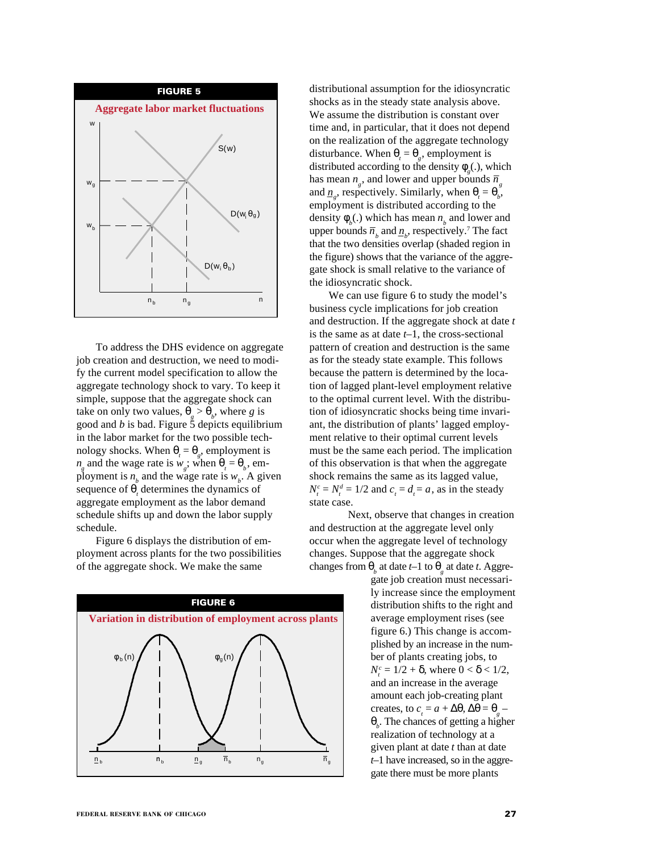

To address the DHS evidence on aggregate job creation and destruction, we need to modify the current model specification to allow the aggregate technology shock to vary. To keep it simple, suppose that the aggregate shock can take on only two values,  $\theta_g > \theta_b$ , where *g* is good and  $b$  is bad. Figure  $\ddot{5}$  depicts equilibrium in the labor market for the two possible technology shocks. When  $\theta_t = \theta_g$ , employment is  $n_g$  and the wage rate is  $w_g$ ; when  $\theta_t = \theta_b$ , employment is  $n_b$  and the wage rate is  $w_b$ . A given sequence of  $\theta$ , determines the dynamics of aggregate employment as the labor demand schedule shifts up and down the labor supply schedule.

Figure 6 displays the distribution of employment across plants for the two possibilities of the aggregate shock. We make the same



distributional assumption for the idiosyncratic shocks as in the steady state analysis above. We assume the distribution is constant over time and, in particular, that it does not depend on the realization of the aggregate technology disturbance. When  $\theta_t = \theta_g$ , employment is distributed according to the density  $\phi_{g}$ (.), which has mean  $n_g$ , and lower and upper bounds  $\bar{n}_g$ and  $\underline{n}_g$ , respectively. Similarly, when  $\theta_t = \theta_b$ , employment is distributed according to the density  $\phi_b$ .) which has mean  $n_b$  and lower and upper bounds  $\bar{n}_b$  and  $\underline{n}_b$ , respectively.<sup>7</sup> The fact that the two densities overlap (shaded region in the figure) shows that the variance of the aggregate shock is small relative to the variance of the idiosyncratic shock.

We can use figure 6 to study the model's business cycle implications for job creation and destruction. If the aggregate shock at date *t* is the same as at date *t*–1, the cross-sectional pattern of creation and destruction is the same as for the steady state example. This follows because the pattern is determined by the location of lagged plant-level employment relative to the optimal current level. With the distribution of idiosyncratic shocks being time invariant, the distribution of plants' lagged employment relative to their optimal current levels must be the same each period. The implication of this observation is that when the aggregate shock remains the same as its lagged value,  $N_t^c = N_t^d = 1/2$  and  $c_t = d_t = a$ , as in the steady state case.

Next, observe that changes in creation and destruction at the aggregate level only occur when the aggregate level of technology changes. Suppose that the aggregate shock changes from  $\theta_b$  at date *t*–1 to  $\theta_g$  at date *t*. Aggre-

gate job creation must necessarily increase since the employment distribution shifts to the right and average employment rises (see figure 6.) This change is accomplished by an increase in the number of plants creating jobs, to  $N_t^c = 1/2 + δ$ , where  $0 < δ < 1/2$ , and an increase in the average amount each job-creating plant creates, to  $c_t = a + \Delta\theta$ ,  $\Delta\theta = \theta_g$ θ*b* . The chances of getting a higher realization of technology at a given plant at date *t* than at date *t*–1 have increased, so in the aggregate there must be more plants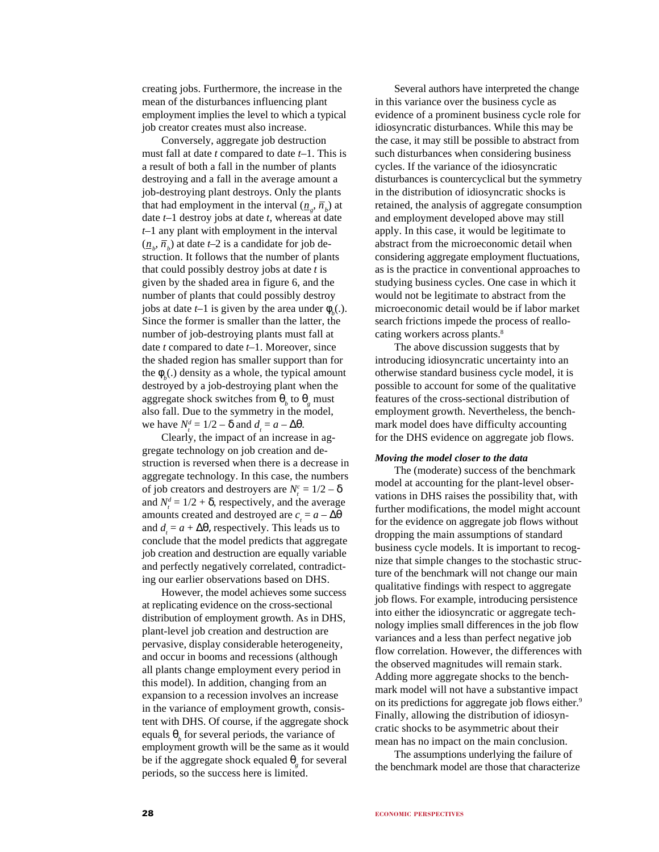creating jobs. Furthermore, the increase in the mean of the disturbances influencing plant employment implies the level to which a typical job creator creates must also increase.

Conversely, aggregate job destruction must fall at date *t* compared to date *t*–1. This is a result of both a fall in the number of plants destroying and a fall in the average amount a job-destroying plant destroys. Only the plants that had employment in the interval  $(\underline{n}_g, \overline{n}_b)$  at date *t*–1 destroy jobs at date *t*, whereas at date *t*–1 any plant with employment in the interval  $(\underline{n}_b, \overline{n}_b)$  at date *t*–2 is a candidate for job destruction. It follows that the number of plants that could possibly destroy jobs at date *t* is given by the shaded area in figure 6, and the number of plants that could possibly destroy jobs at date *t*-1 is given by the area under  $\phi_b(.)$ . Since the former is smaller than the latter, the number of job-destroying plants must fall at date *t* compared to date *t*–1. Moreover, since the shaded region has smaller support than for the  $\phi_b$ (.) density as a whole, the typical amount destroyed by a job-destroying plant when the aggregate shock switches from θ*<sup>b</sup>* to θ*<sup>g</sup>* must also fall. Due to the symmetry in the model, we have  $N_t^d = 1/2 - \delta$  and  $d_t = a - \Delta\theta$ .

Clearly, the impact of an increase in aggregate technology on job creation and destruction is reversed when there is a decrease in aggregate technology. In this case, the numbers of job creators and destroyers are  $N_t^c = 1/2 - \delta$ and  $N_t^d = 1/2 + \delta$ , respectively, and the average amounts created and destroyed are  $c<sub>t</sub> = a - \Delta\theta$ and  $d_t = a + \Delta\theta$ , respectively. This leads us to conclude that the model predicts that aggregate job creation and destruction are equally variable and perfectly negatively correlated, contradicting our earlier observations based on DHS.

However, the model achieves some success at replicating evidence on the cross-sectional distribution of employment growth. As in DHS, plant-level job creation and destruction are pervasive, display considerable heterogeneity, and occur in booms and recessions (although all plants change employment every period in this model). In addition, changing from an expansion to a recession involves an increase in the variance of employment growth, consistent with DHS. Of course, if the aggregate shock equals  $\theta_b$  for several periods, the variance of employment growth will be the same as it would be if the aggregate shock equaled θ*<sup>g</sup>* for several periods, so the success here is limited.

Several authors have interpreted the change in this variance over the business cycle as evidence of a prominent business cycle role for idiosyncratic disturbances. While this may be the case, it may still be possible to abstract from such disturbances when considering business cycles. If the variance of the idiosyncratic disturbances is countercyclical but the symmetry in the distribution of idiosyncratic shocks is retained, the analysis of aggregate consumption and employment developed above may still apply. In this case, it would be legitimate to abstract from the microeconomic detail when considering aggregate employment fluctuations, as is the practice in conventional approaches to studying business cycles. One case in which it would not be legitimate to abstract from the microeconomic detail would be if labor market search frictions impede the process of reallocating workers across plants.<sup>8</sup>

The above discussion suggests that by introducing idiosyncratic uncertainty into an otherwise standard business cycle model, it is possible to account for some of the qualitative features of the cross-sectional distribution of employment growth. Nevertheless, the benchmark model does have difficulty accounting for the DHS evidence on aggregate job flows.

# *Moving the model closer to the data*

The (moderate) success of the benchmark model at accounting for the plant-level observations in DHS raises the possibility that, with further modifications, the model might account for the evidence on aggregate job flows without dropping the main assumptions of standard business cycle models. It is important to recognize that simple changes to the stochastic structure of the benchmark will not change our main qualitative findings with respect to aggregate job flows. For example, introducing persistence into either the idiosyncratic or aggregate technology implies small differences in the job flow variances and a less than perfect negative job flow correlation. However, the differences with the observed magnitudes will remain stark. Adding more aggregate shocks to the benchmark model will not have a substantive impact on its predictions for aggregate job flows either.<sup>9</sup> Finally, allowing the distribution of idiosyncratic shocks to be asymmetric about their mean has no impact on the main conclusion.

The assumptions underlying the failure of the benchmark model are those that characterize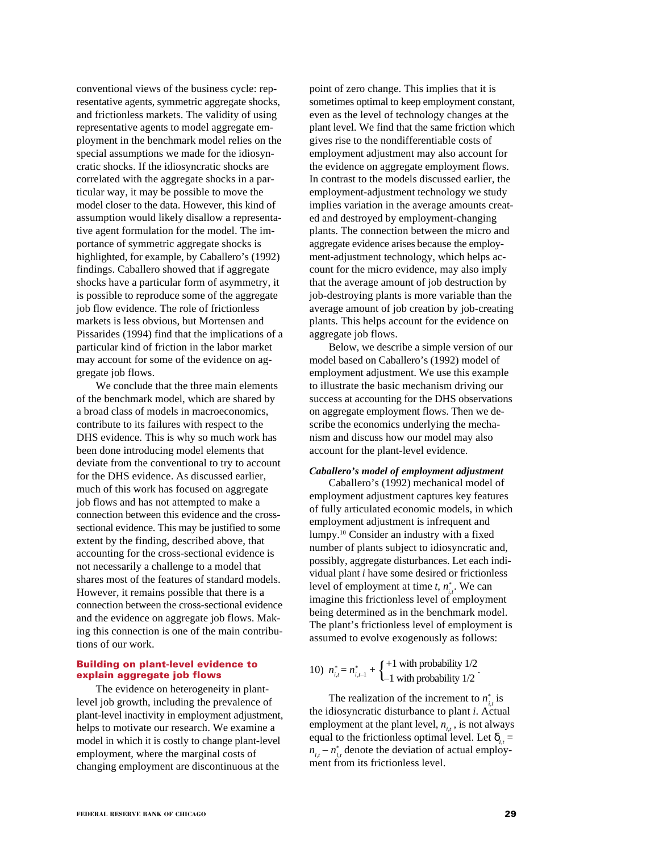conventional views of the business cycle: representative agents, symmetric aggregate shocks, and frictionless markets. The validity of using representative agents to model aggregate employment in the benchmark model relies on the special assumptions we made for the idiosyncratic shocks. If the idiosyncratic shocks are correlated with the aggregate shocks in a particular way, it may be possible to move the model closer to the data. However, this kind of assumption would likely disallow a representative agent formulation for the model. The importance of symmetric aggregate shocks is highlighted, for example, by Caballero's (1992) findings. Caballero showed that if aggregate shocks have a particular form of asymmetry, it is possible to reproduce some of the aggregate job flow evidence. The role of frictionless markets is less obvious, but Mortensen and Pissarides (1994) find that the implications of a particular kind of friction in the labor market may account for some of the evidence on aggregate job flows.

We conclude that the three main elements of the benchmark model, which are shared by a broad class of models in macroeconomics, contribute to its failures with respect to the DHS evidence. This is why so much work has been done introducing model elements that deviate from the conventional to try to account for the DHS evidence. As discussed earlier, much of this work has focused on aggregate job flows and has not attempted to make a connection between this evidence and the crosssectional evidence. This may be justified to some extent by the finding, described above, that accounting for the cross-sectional evidence is not necessarily a challenge to a model that shares most of the features of standard models. However, it remains possible that there is a connection between the cross-sectional evidence and the evidence on aggregate job flows. Making this connection is one of the main contributions of our work.

# **Building on plant-level evidence to explain aggregate job flows**

The evidence on heterogeneity in plantlevel job growth, including the prevalence of plant-level inactivity in employment adjustment, helps to motivate our research. We examine a model in which it is costly to change plant-level employment, where the marginal costs of changing employment are discontinuous at the

point of zero change. This implies that it is sometimes optimal to keep employment constant, even as the level of technology changes at the plant level. We find that the same friction which gives rise to the nondifferentiable costs of employment adjustment may also account for the evidence on aggregate employment flows. In contrast to the models discussed earlier, the employment-adjustment technology we study implies variation in the average amounts created and destroyed by employment-changing plants. The connection between the micro and aggregate evidence arises because the employment-adjustment technology, which helps account for the micro evidence, may also imply that the average amount of job destruction by job-destroying plants is more variable than the average amount of job creation by job-creating plants. This helps account for the evidence on aggregate job flows.

Below, we describe a simple version of our model based on Caballero's (1992) model of employment adjustment. We use this example to illustrate the basic mechanism driving our success at accounting for the DHS observations on aggregate employment flows. Then we describe the economics underlying the mechanism and discuss how our model may also account for the plant-level evidence.

# *Caballero's model of employment adjustment*

Caballero's (1992) mechanical model of employment adjustment captures key features of fully articulated economic models, in which employment adjustment is infrequent and lumpy.10 Consider an industry with a fixed number of plants subject to idiosyncratic and, possibly, aggregate disturbances. Let each individual plant *i* have some desired or frictionless level of employment at time  $t$ ,  $n_{i,t}^*$ . We can imagine this frictionless level of employment being determined as in the benchmark model. The plant's frictionless level of employment is assumed to evolve exogenously as follows:

10)  $n_{i,t}^* = n_{i,t-1}^* + \begin{cases} +1 \text{ with probability } 1/2 \\ -1 \text{ with probability } 1/2 \end{cases}$ .

The realization of the increment to  $n^*_{i,t}$  is the idiosyncratic disturbance to plant *i*. Actual employment at the plant level,  $n_{i,t}$ , is not always equal to the frictionless optimal level. Let  $\delta_{i,t} =$  $n_{i,t} - n_{i,t}^*$  denote the deviation of actual employment from its frictionless level.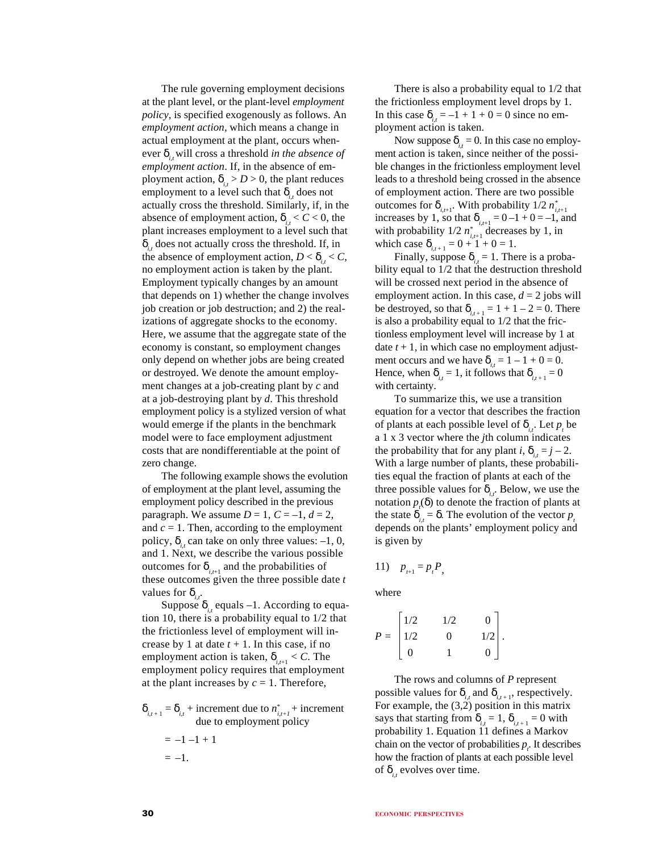The rule governing employment decisions at the plant level, or the plant-level *employment policy*, is specified exogenously as follows. An *employment action*, which means a change in actual employment at the plant, occurs whenever  $\delta_{i,t}$  will cross a threshold *in the absence of employment action*. If, in the absence of employment action,  $\delta_{i} > D > 0$ , the plant reduces employment to a level such that  $\delta_{i}$  does not actually cross the threshold. Similarly, if, in the absence of employment action,  $\delta_{i}$ ,  $\epsilon < 0$ , the plant increases employment to a level such that  $\delta_{i}$  does not actually cross the threshold. If, in the absence of employment action,  $D < \delta_{i} < C$ , no employment action is taken by the plant. Employment typically changes by an amount that depends on 1) whether the change involves job creation or job destruction; and 2) the realizations of aggregate shocks to the economy. Here, we assume that the aggregate state of the economy is constant, so employment changes only depend on whether jobs are being created or destroyed. We denote the amount employment changes at a job-creating plant by *c* and at a job-destroying plant by *d*. This threshold employment policy is a stylized version of what would emerge if the plants in the benchmark model were to face employment adjustment costs that are nondifferentiable at the point of zero change.

The following example shows the evolution of employment at the plant level, assuming the employment policy described in the previous paragraph. We assume  $D = 1$ ,  $C = -1$ ,  $d = 2$ , and  $c = 1$ . Then, according to the employment policy,  $\delta_i$  can take on only three values: –1, 0, and 1. Next, we describe the various possible outcomes for  $\delta_{i,t+1}$  and the probabilities of these outcomes given the three possible date *t* values for  $\delta_{i}$ .

Suppose  $\delta_{i,t}$  equals –1. According to equation 10, there is a probability equal to 1/2 that the frictionless level of employment will increase by 1 at date  $t + 1$ . In this case, if no employment action is taken,  $\delta_{i,t+1} < C$ . The employment policy requires that employment at the plant increases by  $c = 1$ . Therefore,

$$
\delta_{i,t+1} = \delta_{i,t} + \text{increment due to } n_{i,t+1}^* + \text{increment due to employment policy}
$$
  
= -1 -1 + 1  
= -1.

There is also a probability equal to 1/2 that the frictionless employment level drops by 1. In this case  $\delta_{i} = -1 + 1 + 0 = 0$  since no employment action is taken.

Now suppose  $\delta_{it} = 0$ . In this case no employment action is taken, since neither of the possible changes in the frictionless employment level leads to a threshold being crossed in the absence of employment action. There are two possible outcomes for  $\delta_{i,t+1}$ . With probability 1/2  $n^*_{i,t+1}$ increases by 1, so that  $\delta_{i,t+1} = 0 - 1 + 0 = -1$ , and with probability  $1/2 n_{i,t+1}^*$  decreases by 1, in which case  $\delta_{i,t+1} = 0 + 1 + 0 = 1$ .

Finally, suppose  $\delta_i = 1$ . There is a probability equal to 1/2 that the destruction threshold will be crossed next period in the absence of employment action. In this case,  $d = 2$  jobs will be destroyed, so that  $\delta_{i,t+1} = 1 + 1 - 2 = 0$ . There is also a probability equal to 1/2 that the frictionless employment level will increase by 1 at date  $t + 1$ , in which case no employment adjustment occurs and we have  $\delta_{i} = 1 - 1 + 0 = 0$ . Hence, when  $\delta_{i} = 1$ , it follows that  $\delta_{i} = 0$ with certainty.

To summarize this, we use a transition equation for a vector that describes the fraction of plants at each possible level of  $\delta_{i,t}$ . Let  $p_t$  be a 1 x 3 vector where the *j*th column indicates the probability that for any plant *i*,  $\delta_{i,t} = j - 2$ . With a large number of plants, these probabilities equal the fraction of plants at each of the three possible values for  $\delta_{i,t}$ . Below, we use the notation  $p_i(\delta)$  to denote the fraction of plants at the state  $\delta_i = \delta$ . The evolution of the vector *p*. depends on the plants' employment policy and is given by

$$
11) \quad p_{t+1} = p_t P_t
$$

where

$$
P = \begin{bmatrix} 1/2 & 1/2 & 0 \\ 1/2 & 0 & 1/2 \\ 0 & 1 & 0 \end{bmatrix}.
$$

The rows and columns of *P* represent possible values for  $\delta_{i}$  and  $\delta_{i}$ , respectively. For example, the (3,2) position in this matrix says that starting from  $\delta_{i,t} = 1$ ,  $\delta_{i,t+1} = 0$  with probability 1. Equation 11 defines a Markov chain on the vector of probabilities  $p_t$ . It describes how the fraction of plants at each possible level of  $\delta_{i}$ , evolves over time.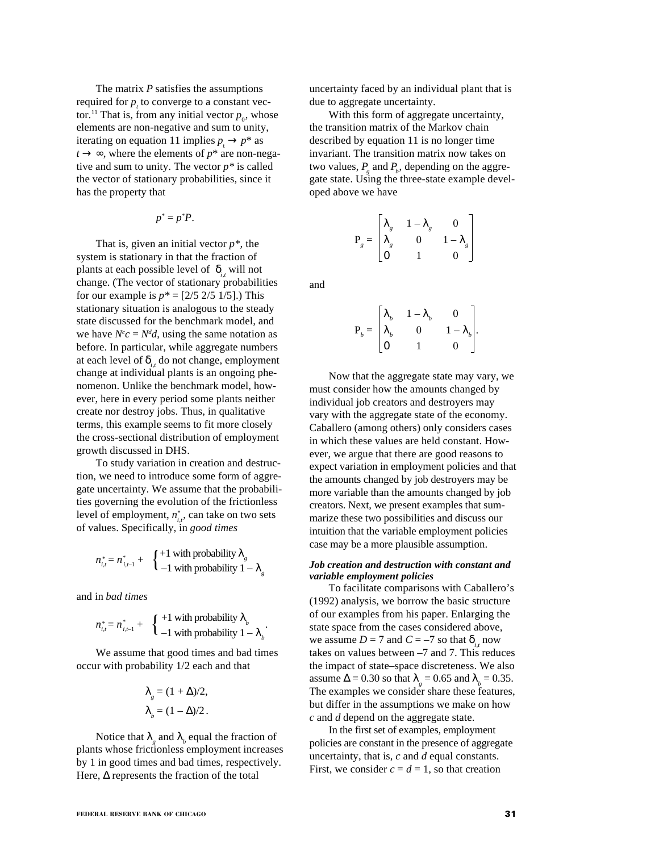The matrix *P* satisfies the assumptions required for  $p<sub>r</sub>$  to converge to a constant vector.<sup>11</sup> That is, from any initial vector  $p_0$ , whose elements are non-negative and sum to unity, iterating on equation 11 implies  $p_1 \rightarrow p^*$  as  $t \rightarrow \infty$ , where the elements of  $p^*$  are non-negative and sum to unity. The vector *p\** is called the vector of stationary probabilities, since it has the property that

$$
p^* = p^*P.
$$

That is, given an initial vector  $p^*$ , the system is stationary in that the fraction of plants at each possible level of  $δ<sub>i</sub>$ , will not change. (The vector of stationary probabilities for our example is  $p^* = [2/5 \ 2/5 \ 1/5]$ .) This stationary situation is analogous to the steady state discussed for the benchmark model, and we have  $N^c c = N^d d$ , using the same notation as before. In particular, while aggregate numbers at each level of  $\delta_{i,t}$  do not change, employment change at individual plants is an ongoing phenomenon. Unlike the benchmark model, however, here in every period some plants neither create nor destroy jobs. Thus, in qualitative terms, this example seems to fit more closely the cross-sectional distribution of employment growth discussed in DHS.

To study variation in creation and destruction, we need to introduce some form of aggregate uncertainty. We assume that the probabilities governing the evolution of the frictionless level of employment,  $n_{i,t}^*$ , can take on two sets of values. Specifically, in *good times*

$$
n_{i,t}^* = n_{i,t-1}^* + \begin{cases} +1 \text{ with probability } \lambda_{g} \\ -1 \text{ with probability } 1 - \lambda_{g} \end{cases}
$$

and in *bad times*

$$
n_{i,t}^* = n_{i,t-1}^* + \begin{cases} +1 \text{ with probability } \lambda_b \\ -1 \text{ with probability } 1 - \lambda_b \end{cases}.
$$

We assume that good times and bad times occur with probability 1/2 each and that

$$
\lambda_{g} = (1 + \Delta)/2,
$$
  

$$
\lambda_{b} = (1 - \Delta)/2.
$$

Notice that  $\lambda_{g}$  and  $\lambda_{b}$  equal the fraction of plants whose frictionless employment increases by 1 in good times and bad times, respectively. Here,  $\Delta$  represents the fraction of the total

uncertainty faced by an individual plant that is due to aggregate uncertainty.

With this form of aggregate uncertainty, the transition matrix of the Markov chain described by equation 11 is no longer time invariant. The transition matrix now takes on two values,  $P_{g}$  and  $P_{b}$ , depending on the aggregate state. Using the three-state example developed above we have

$$
\mathbf{P}_g = \begin{bmatrix} \lambda_g & 1 - \lambda_g & 0 \\ \lambda_g & 0 & 1 - \lambda_g \\ 0 & 1 & 0 \end{bmatrix}
$$

and

$$
\mathbf{P}_b = \begin{bmatrix} \lambda_b & 1 - \lambda_b & 0 \\ \lambda_b & 0 & 1 - \lambda_b \\ 0 & 1 & 0 \end{bmatrix}.
$$

Now that the aggregate state may vary, we must consider how the amounts changed by individual job creators and destroyers may vary with the aggregate state of the economy. Caballero (among others) only considers cases in which these values are held constant. However, we argue that there are good reasons to expect variation in employment policies and that the amounts changed by job destroyers may be more variable than the amounts changed by job creators. Next, we present examples that summarize these two possibilities and discuss our intuition that the variable employment policies case may be a more plausible assumption.

# *Job creation and destruction with constant and variable employment policies*

To facilitate comparisons with Caballero's (1992) analysis, we borrow the basic structure of our examples from his paper. Enlarging the state space from the cases considered above, we assume  $D = 7$  and  $C = -7$  so that  $\delta_{i,t}$  now takes on values between –7 and 7. This reduces the impact of state–space discreteness. We also assume  $\Delta = 0.30$  so that  $\lambda_{g} = 0.65$  and  $\lambda_{b} = 0.35$ . The examples we consider share these features, but differ in the assumptions we make on how *c* and *d* depend on the aggregate state.

In the first set of examples, employment policies are constant in the presence of aggregate uncertainty, that is, *c* and *d* equal constants. First, we consider  $c = d = 1$ , so that creation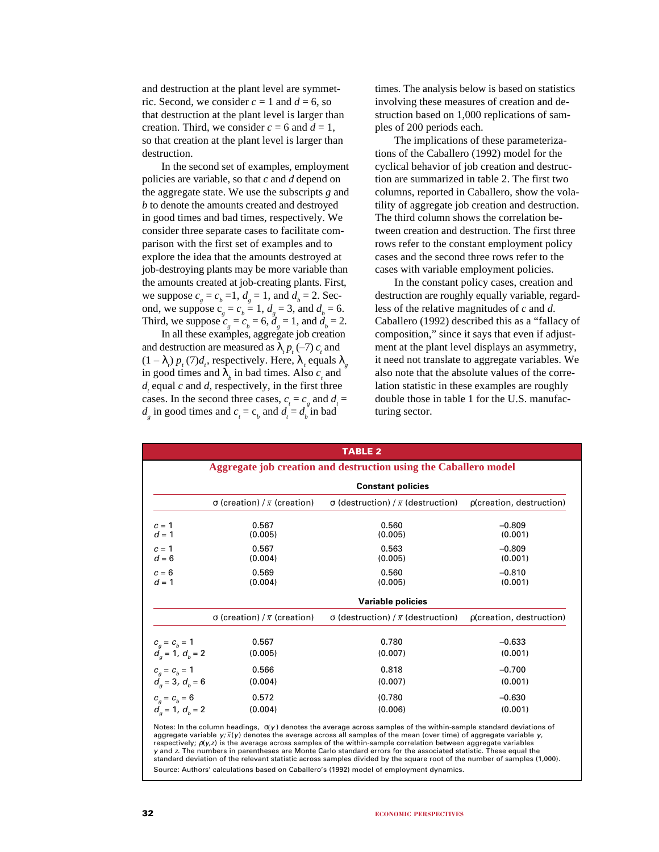and destruction at the plant level are symmetric. Second, we consider  $c = 1$  and  $d = 6$ , so that destruction at the plant level is larger than creation. Third, we consider  $c = 6$  and  $d = 1$ , so that creation at the plant level is larger than destruction.

In the second set of examples, employment policies are variable, so that *c* and *d* depend on the aggregate state. We use the subscripts *g* and *b* to denote the amounts created and destroyed in good times and bad times, respectively. We consider three separate cases to facilitate comparison with the first set of examples and to explore the idea that the amounts destroyed at job-destroying plants may be more variable than the amounts created at job-creating plants. First, we suppose  $c_g = c_b = 1$ ,  $d_g = 1$ , and  $d_b = 2$ . Second, we suppose  $c_g = c_b = 1$ ,  $d_g = 3$ , and  $d_b = 6$ . Third, we suppose  $c_g = c_b = 6$ ,  $d_g = 1$ , and  $d_b = 2$ .

In all these examples, aggregate job creation and destruction are measured as  $\lambda_t p_t (-7) c_t$  and  $(1 - \lambda_i) p_t(7) d_t$ , respectively. Here,  $\lambda_i$  equals  $\lambda_g$ in good times and  $\lambda$ <sub>*b*</sub> in bad times. Also *c<sub>t</sub>* and  $d_i$  equal *c* and *d*, respectively, in the first three cases. In the second three cases,  $c_t = c_g$  and  $d_t =$  $d_g$  in good times and  $c_t = c_b$  and  $d_t = d_b$  in bad

times. The analysis below is based on statistics involving these measures of creation and destruction based on 1,000 replications of samples of 200 periods each.

The implications of these parameterizations of the Caballero (1992) model for the cyclical behavior of job creation and destruction are summarized in table 2. The first two columns, reported in Caballero, show the volatility of aggregate job creation and destruction. The third column shows the correlation between creation and destruction. The first three rows refer to the constant employment policy cases and the second three rows refer to the cases with variable employment policies.

In the constant policy cases, creation and destruction are roughly equally variable, regardless of the relative magnitudes of *c* and *d*. Caballero (1992) described this as a "fallacy of composition," since it says that even if adjustment at the plant level displays an asymmetry, it need not translate to aggregate variables. We also note that the absolute values of the correlation statistic in these examples are roughly double those in table 1 for the U.S. manufacturing sector.

|                                                                  |                                     | <b>TABLE 2</b>                            |                          |  |  |  |  |  |
|------------------------------------------------------------------|-------------------------------------|-------------------------------------------|--------------------------|--|--|--|--|--|
| Aggregate job creation and destruction using the Caballero model |                                     |                                           |                          |  |  |  |  |  |
|                                                                  |                                     | <b>Constant policies</b>                  |                          |  |  |  |  |  |
|                                                                  | σ (creation) / $\bar{x}$ (creation) | σ (destruction) / $\bar{x}$ (destruction) | p(creation, destruction) |  |  |  |  |  |
| $c = 1$<br>$d = 1$                                               | 0.567<br>(0.005)                    | 0.560<br>(0.005)                          | $-0.809$<br>(0.001)      |  |  |  |  |  |
| $c = 1$<br>$d = 6$                                               | 0.567<br>(0.004)                    | 0.563<br>(0.005)                          | $-0.809$<br>(0.001)      |  |  |  |  |  |
| $c = 6$<br>$d = 1$                                               | 0.569<br>(0.004)                    | 0.560<br>(0.005)                          | $-0.810$<br>(0.001)      |  |  |  |  |  |
|                                                                  |                                     | Variable policies                         |                          |  |  |  |  |  |
|                                                                  | σ (creation) / $\bar{x}$ (creation) | σ (destruction) / $\bar{x}$ (destruction) | p(creation, destruction) |  |  |  |  |  |
| $c_a = c_b = 1$                                                  | 0.567                               | 0.780                                     | $-0.633$                 |  |  |  |  |  |
| $d_a = 1, d_b = 2$                                               | (0.005)                             | (0.007)                                   | (0.001)                  |  |  |  |  |  |
| $c_a = c_b = 1$                                                  | 0.566                               | 0.818                                     | $-0.700$                 |  |  |  |  |  |
| $d_a = 3, d_b = 6$                                               | (0.004)                             | (0.007)                                   | (0.001)                  |  |  |  |  |  |
| $c_a = c_b = 6$                                                  | 0.572                               | (0.780)                                   | $-0.630$                 |  |  |  |  |  |
| $d_a = 1, d_b = 2$                                               | (0.004)                             | (0.006)                                   | (0.001)                  |  |  |  |  |  |

Notes: In the column headings,  $σ(y)$  denotes the average across samples of the within-sample standard deviations of aggregate variable y; *x –*(<sup>y</sup> ) denotes the average across all samples of the mean (over time) of aggregate variable y, respectively;  $\rho(y, z)$  is the average across samples of the within-sample correlation between aggregate variables <sup>y</sup> and z. The numbers in parentheses are Monte Carlo standard errors for the associated statistic. These equal the standard deviation of the relevant statistic across samples divided by the square root of the number of samples (1,000). Source: Authors' calculations based on Caballero's (1992) model of employment dynamics.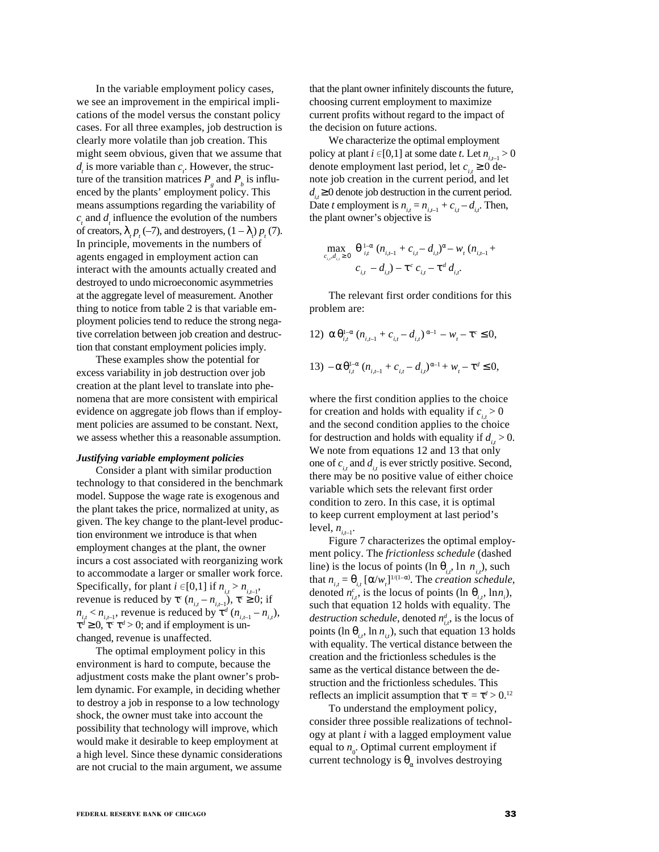In the variable employment policy cases, we see an improvement in the empirical implications of the model versus the constant policy cases. For all three examples, job destruction is clearly more volatile than job creation. This might seem obvious, given that we assume that  $d_i$  is more variable than  $c_i$ . However, the structure of the transition matrices  $P_g$  and  $P_b$  is influenced by the plants' employment policy. This means assumptions regarding the variability of  $c<sub>t</sub>$  and  $d<sub>t</sub>$  influence the evolution of the numbers of creators,  $\lambda_{i} p_{i}(-7)$ , and destroyers,  $(1 - \lambda_{i}) p_{i}(7)$ . In principle, movements in the numbers of agents engaged in employment action can interact with the amounts actually created and destroyed to undo microeconomic asymmetries at the aggregate level of measurement. Another thing to notice from table 2 is that variable employment policies tend to reduce the strong negative correlation between job creation and destruction that constant employment policies imply.

These examples show the potential for excess variability in job destruction over job creation at the plant level to translate into phenomena that are more consistent with empirical evidence on aggregate job flows than if employment policies are assumed to be constant. Next, we assess whether this a reasonable assumption.

# *Justifying variable employment policies*

Consider a plant with similar production technology to that considered in the benchmark model. Suppose the wage rate is exogenous and the plant takes the price, normalized at unity, as given. The key change to the plant-level production environment we introduce is that when employment changes at the plant, the owner incurs a cost associated with reorganizing work to accommodate a larger or smaller work force. Specifically, for plant  $i \in [0,1]$  if  $n_{i,t} > n_{i,t-1}$ , revenue is reduced by  $\tau^c$  ( $n_{i,t} - n_{i,t-1}$ ),  $\tau^c \ge 0$ ; if  $n_{i,t} < n_{i,t-1}$ , revenue is reduced by  $\tau^d$  ( $n_{i,t-1} - n_{i,t}$ ),  $\tau^d \geq 0$ ,  $\tau^c \tau^d > 0$ ; and if employment is unchanged, revenue is unaffected.

The optimal employment policy in this environment is hard to compute, because the adjustment costs make the plant owner's problem dynamic. For example, in deciding whether to destroy a job in response to a low technology shock, the owner must take into account the possibility that technology will improve, which would make it desirable to keep employment at a high level. Since these dynamic considerations are not crucial to the main argument, we assume

that the plant owner infinitely discounts the future, choosing current employment to maximize current profits without regard to the impact of the decision on future actions.

We characterize the optimal employment policy at plant  $i \in [0,1]$  at some date *t*. Let  $n_{i-1} > 0$ denote employment last period, let  $c_i \geq 0$  denote job creation in the current period, and let  $d_i \geq 0$  denote job destruction in the current period. Date *t* employment is  $n_{i,t} = n_{i,t-1} + c_{i,t} - d_{i,t}$ . Then, the plant owner's objective is

$$
\max_{c_{i,r},d_{i,r} \geq 0} \frac{\theta^{\frac{1-\alpha}{i}}}{\theta^{\frac{1-\alpha}{i}}(n_{i,r-1} + c_{i,r} - d_{i,r})^{\alpha} - w_{t}(n_{i,r-1} + c_{i,r} - d_{i,r})}
$$

The relevant first order conditions for this problem are:

12) 
$$
\alpha \theta_{i,t}^{1-\alpha} (n_{i,t-1} + c_{i,t} - d_{i,t})^{\alpha-1} - w_t - \tau^c \le 0,
$$
  
\n13)  $-\alpha \theta_{i,t}^{1-\alpha} (n_{i,t-1} + c_{i,t} - d_{i,t})^{\alpha-1} + w_t - \tau^d \le 0,$ 

where the first condition applies to the choice for creation and holds with equality if  $c_i > 0$ and the second condition applies to the choice for destruction and holds with equality if  $d_i > 0$ . We note from equations 12 and 13 that only one of  $c_i$ , and  $d_i$ , is ever strictly positive. Second, there may be no positive value of either choice variable which sets the relevant first order condition to zero. In this case, it is optimal to keep current employment at last period's level,  $n_{i+1}$ .

Figure 7 characterizes the optimal employment policy. The *frictionless schedule* (dashed line) is the locus of points (ln  $\theta_i$ , ln  $n_i$ ), such that  $n_{i,t} = \theta_{i,t} [\alpha/w_i]^{1/(1-\alpha)}$ . The *creation schedule*, denoted  $n_{i,t}^c$ , is the locus of points (ln  $\theta_{i,t}$ , lnn<sub>i</sub>), such that equation 12 holds with equality. The *destruction schedule*, denoted  $n_{i,t}^d$ , is the locus of points (ln  $\theta_{i}$ , ln  $n_{i}$ ), such that equation 13 holds with equality. The vertical distance between the creation and the frictionless schedules is the same as the vertical distance between the destruction and the frictionless schedules. This reflects an implicit assumption that  $\tau^c = \tau^d > 0$ .<sup>12</sup>

To understand the employment policy, consider three possible realizations of technology at plant *i* with a lagged employment value equal to  $n_{0}$ . Optimal current employment if current technology is  $\theta_{\alpha}$  involves destroying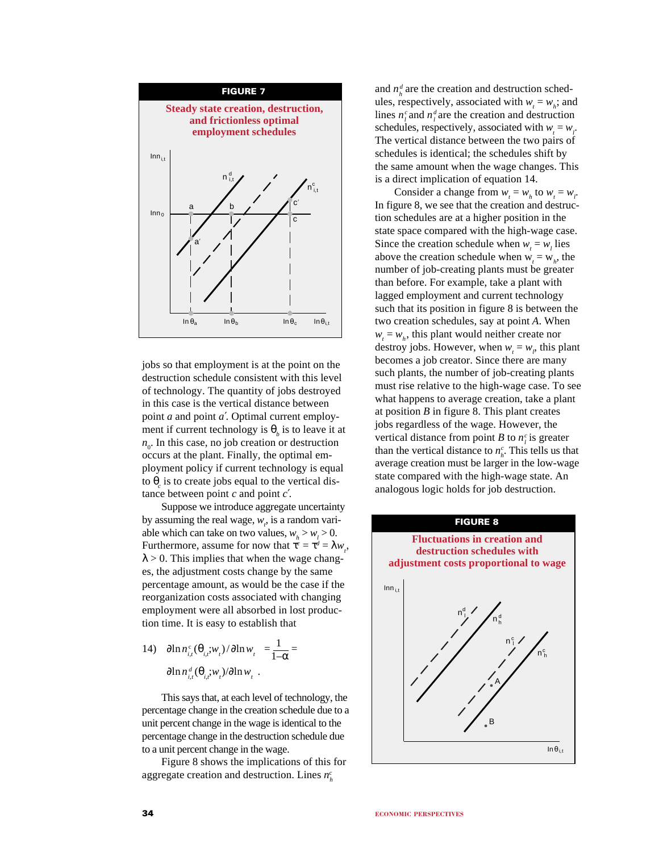

jobs so that employment is at the point on the destruction schedule consistent with this level of technology. The quantity of jobs destroyed in this case is the vertical distance between point *a* and point *a*′. Optimal current employment if current technology is  $\theta_b$  is to leave it at  $n<sub>0</sub>$ . In this case, no job creation or destruction occurs at the plant. Finally, the optimal employment policy if current technology is equal to  $\theta_c$  is to create jobs equal to the vertical distance between point *c* and point *c*′.

Suppose we introduce aggregate uncertainty by assuming the real wage,  $w_i$ , is a random variable which can take on two values,  $w_h > w_l > 0$ . Furthermore, assume for now that  $\tau^c = \tau^d = \lambda w_i$ ,  $\lambda > 0$ . This implies that when the wage changes, the adjustment costs change by the same percentage amount, as would be the case if the reorganization costs associated with changing employment were all absorbed in lost production time. It is easy to establish that

14)  $|\partial \ln n_{i,t}^{\text{c}}(\theta_{i,t};w_t)/\partial \ln w_t| = \frac{1}{1-\alpha}$  $\left| \frac{\partial \ln n_{i,t}^d(\theta_{i,t};w_t)}{\partial \ln w_t} \right|.$ 

This says that, at each level of technology, the percentage change in the creation schedule due to a unit percent change in the wage is identical to the percentage change in the destruction schedule due to a unit percent change in the wage.

Figure 8 shows the implications of this for aggregate creation and destruction. Lines *nc h*

and  $n_h^d$  are the creation and destruction schedules, respectively, associated with  $w_t = w_h$ ; and lines  $n_i^c$  and  $n_i^d$  are the creation and destruction schedules, respectively, associated with  $w_t = w_t$ . The vertical distance between the two pairs of schedules is identical; the schedules shift by the same amount when the wage changes. This is a direct implication of equation 14.

Consider a change from  $w_t = w_h$  to  $w_t = w_l$ . In figure 8, we see that the creation and destruction schedules are at a higher position in the state space compared with the high-wage case. Since the creation schedule when  $w_t = w_l$  lies above the creation schedule when  $w_t = w_h$ , the number of job-creating plants must be greater than before. For example, take a plant with lagged employment and current technology such that its position in figure 8 is between the two creation schedules, say at point *A*. When  $w_t = w_h$ , this plant would neither create nor destroy jobs. However, when  $w_t = w_t$ , this plant becomes a job creator. Since there are many such plants, the number of job-creating plants must rise relative to the high-wage case. To see what happens to average creation, take a plant at position *B* in figure 8. This plant creates jobs regardless of the wage. However, the vertical distance from point *B* to  $n_i^c$  is greater than the vertical distance to  $n_h^c$ . This tells us that average creation must be larger in the low-wage state compared with the high-wage state. An analogous logic holds for job destruction.

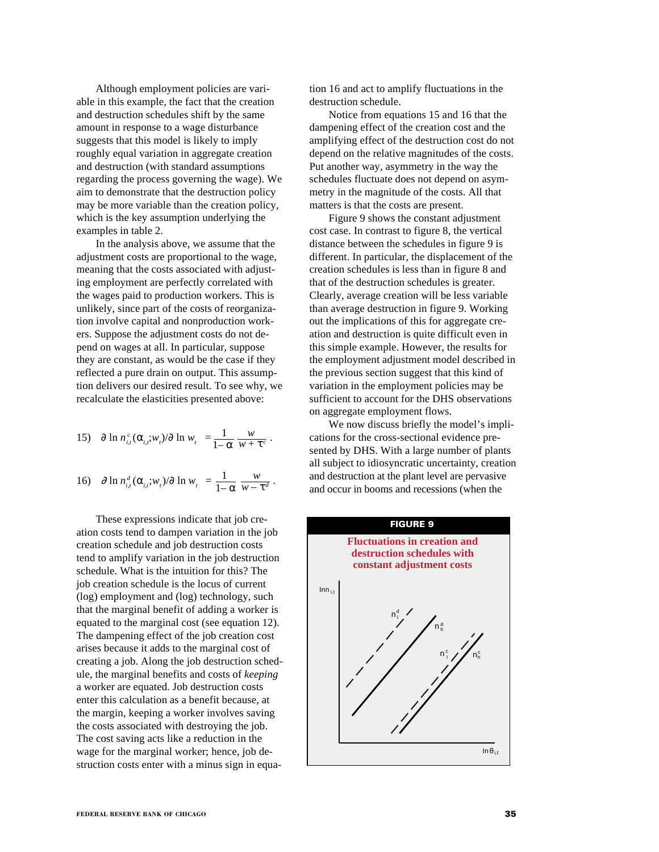Although employment policies are variable in this example, the fact that the creation and destruction schedules shift by the same amount in response to a wage disturbance suggests that this model is likely to imply roughly equal variation in aggregate creation and destruction (with standard assumptions regarding the process governing the wage). We aim to demonstrate that the destruction policy may be more variable than the creation policy, which is the key assumption underlying the examples in table 2.

In the analysis above, we assume that the adjustment costs are proportional to the wage, meaning that the costs associated with adjusting employment are perfectly correlated with the wages paid to production workers. This is unlikely, since part of the costs of reorganization involve capital and nonproduction workers. Suppose the adjustment costs do not depend on wages at all. In particular, suppose they are constant, as would be the case if they reflected a pure drain on output. This assumption delivers our desired result. To see why, we recalculate the elasticities presented above:

15) 
$$
|\partial \ln n_{i,t}^c(\alpha_{i,t};w_t)/\partial \ln w_t| = \frac{1}{1-\alpha} \frac{w}{w+\tau^c}.
$$

16) 
$$
|\partial \ln n_{i,t}^d(\alpha_{i,t};w_t)/\partial \ln w_t| = \frac{1}{1-\alpha} \frac{w}{w-\tau^d}.
$$

These expressions indicate that job creation costs tend to dampen variation in the job creation schedule and job destruction costs tend to amplify variation in the job destruction schedule. What is the intuition for this? The job creation schedule is the locus of current (log) employment and (log) technology, such that the marginal benefit of adding a worker is equated to the marginal cost (see equation 12). The dampening effect of the job creation cost arises because it adds to the marginal cost of creating a job. Along the job destruction schedule, the marginal benefits and costs of *keeping* a worker are equated. Job destruction costs enter this calculation as a benefit because, at the margin, keeping a worker involves saving the costs associated with destroying the job. The cost saving acts like a reduction in the wage for the marginal worker; hence, job destruction costs enter with a minus sign in equation 16 and act to amplify fluctuations in the destruction schedule.

Notice from equations 15 and 16 that the dampening effect of the creation cost and the amplifying effect of the destruction cost do not depend on the relative magnitudes of the costs. Put another way, asymmetry in the way the schedules fluctuate does not depend on asymmetry in the magnitude of the costs. All that matters is that the costs are present.

Figure 9 shows the constant adjustment cost case. In contrast to figure 8, the vertical distance between the schedules in figure 9 is different. In particular, the displacement of the creation schedules is less than in figure 8 and that of the destruction schedules is greater. Clearly, average creation will be less variable than average destruction in figure 9. Working out the implications of this for aggregate creation and destruction is quite difficult even in this simple example. However, the results for the employment adjustment model described in the previous section suggest that this kind of variation in the employment policies may be sufficient to account for the DHS observations on aggregate employment flows.

We now discuss briefly the model's implications for the cross-sectional evidence presented by DHS. With a large number of plants all subject to idiosyncratic uncertainty, creation and destruction at the plant level are pervasive and occur in booms and recessions (when the

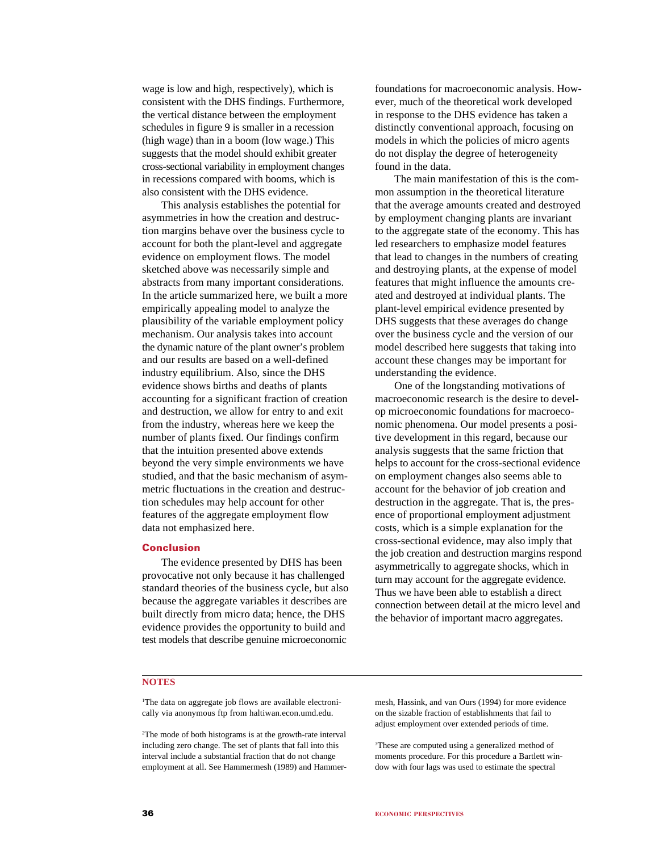wage is low and high, respectively), which is consistent with the DHS findings. Furthermore, the vertical distance between the employment schedules in figure 9 is smaller in a recession (high wage) than in a boom (low wage.) This suggests that the model should exhibit greater cross-sectional variability in employment changes in recessions compared with booms, which is also consistent with the DHS evidence.

This analysis establishes the potential for asymmetries in how the creation and destruction margins behave over the business cycle to account for both the plant-level and aggregate evidence on employment flows. The model sketched above was necessarily simple and abstracts from many important considerations. In the article summarized here, we built a more empirically appealing model to analyze the plausibility of the variable employment policy mechanism. Our analysis takes into account the dynamic nature of the plant owner's problem and our results are based on a well-defined industry equilibrium. Also, since the DHS evidence shows births and deaths of plants accounting for a significant fraction of creation and destruction, we allow for entry to and exit from the industry, whereas here we keep the number of plants fixed. Our findings confirm that the intuition presented above extends beyond the very simple environments we have studied, and that the basic mechanism of asymmetric fluctuations in the creation and destruction schedules may help account for other features of the aggregate employment flow data not emphasized here.

# **Conclusion**

The evidence presented by DHS has been provocative not only because it has challenged standard theories of the business cycle, but also because the aggregate variables it describes are built directly from micro data; hence, the DHS evidence provides the opportunity to build and test models that describe genuine microeconomic

foundations for macroeconomic analysis. However, much of the theoretical work developed in response to the DHS evidence has taken a distinctly conventional approach, focusing on models in which the policies of micro agents do not display the degree of heterogeneity found in the data.

The main manifestation of this is the common assumption in the theoretical literature that the average amounts created and destroyed by employment changing plants are invariant to the aggregate state of the economy. This has led researchers to emphasize model features that lead to changes in the numbers of creating and destroying plants, at the expense of model features that might influence the amounts created and destroyed at individual plants. The plant-level empirical evidence presented by DHS suggests that these averages do change over the business cycle and the version of our model described here suggests that taking into account these changes may be important for understanding the evidence.

One of the longstanding motivations of macroeconomic research is the desire to develop microeconomic foundations for macroeconomic phenomena. Our model presents a positive development in this regard, because our analysis suggests that the same friction that helps to account for the cross-sectional evidence on employment changes also seems able to account for the behavior of job creation and destruction in the aggregate. That is, the presence of proportional employment adjustment costs, which is a simple explanation for the cross-sectional evidence, may also imply that the job creation and destruction margins respond asymmetrically to aggregate shocks, which in turn may account for the aggregate evidence. Thus we have been able to establish a direct connection between detail at the micro level and the behavior of important macro aggregates.

# **NOTES**

1 The data on aggregate job flows are available electronically via anonymous ftp from haltiwan.econ.umd.edu.

2 The mode of both histograms is at the growth-rate interval including zero change. The set of plants that fall into this interval include a substantial fraction that do not change employment at all. See Hammermesh (1989) and Hammer-

mesh, Hassink, and van Ours (1994) for more evidence on the sizable fraction of establishments that fail to adjust employment over extended periods of time.

<sup>3</sup>These are computed using a generalized method of moments procedure. For this procedure a Bartlett window with four lags was used to estimate the spectral